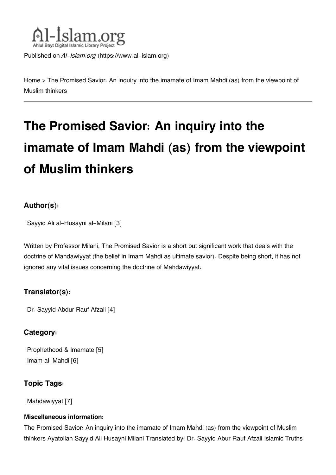

Published on *Al-Islam.org* ([https://www.al-islam.org\)](https://www.al-islam.org)

[Home](https://www.al-islam.org/) > The Promised Savior: An inquiry into the imamate of Imam Mahdi (as) from the viewpoint of Muslim thinkers

# **The Promised Savior: An inquiry into the imamate of Imam Mahdi (as) from the viewpoint of Muslim thinkers**

### **Author(s):**

[Sayyid Ali al-Husayni al-Milani](https://www.al-islam.org/person/sayyid-ali-al-husayni-al-milani) [3]

Written by Professor Milani, The Promised Savior is a short but significant work that deals with the doctrine of Mahdawiyyat (the belief in Imam Mahdi as ultimate savior). Despite being short, it has not ignored any vital issues concerning the doctrine of Mahdawiyyat.

### **Translator(s):**

[Dr. Sayyid Abdur Rauf Afzali](https://www.al-islam.org/person/dr-sayyid-abdur-rauf-afzali) [4]

#### **Category:**

[Prophethood & Imamate](https://www.al-islam.org/library/prophethood-imamate) [5] [Imam al-Mahdi](https://www.al-islam.org/library/imam-al-mahdi) [6]

### **Topic Tags:**

[Mahdawiyyat](https://www.al-islam.org/tags/mahdawiyyat) [7]

#### **Miscellaneous information:**

The Promised Savior: An inquiry into the imamate of Imam Mahdi (as) from the viewpoint of Muslim thinkers Ayatollah Sayyid Ali Husayni Milani Translated by: Dr. Sayyid Abur Rauf Afzali Islamic Truths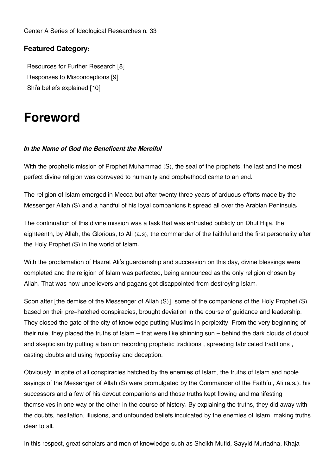Center A Series of Ideological Researches n. 33

### **Featured Category:**

[Resources for Further Research](https://www.al-islam.org/feature/resources-further-research) [8] [Responses to Misconceptions](https://www.al-islam.org/feature/responses-misconceptions) [9] Shi['a beliefs explained](https://www.al-islam.org/feature/shia-beliefs-explained) [10]

# **Foreword**

#### *In the Name of God the Beneficent the Merciful*

With the prophetic mission of Prophet Muhammad (S), the seal of the prophets, the last and the most perfect divine religion was conveyed to humanity and prophethood came to an end.

The religion of Islam emerged in Mecca but after twenty three years of arduous efforts made by the Messenger Allah (S) and a handful of his loyal companions it spread all over the Arabian Peninsula.

The continuation of this divine mission was a task that was entrusted publicly on Dhul Hijja, the eighteenth, by Allah, the Glorious, to Ali (a.s), the commander of the faithful and the first personality after the Holy Prophet (S) in the world of Islam.

With the proclamation of Hazrat Ali's guardianship and succession on this day, divine blessings were completed and the religion of Islam was perfected, being announced as the only religion chosen by Allah. That was how unbelievers and pagans got disappointed from destroying Islam.

Soon after [the demise of the Messenger of Allah (S)], some of the companions of the Holy Prophet (S) based on their pre-hatched conspiracies, brought deviation in the course of guidance and leadership. They closed the gate of the city of knowledge putting Muslims in perplexity. From the very beginning of their rule, they placed the truths of Islam – that were like shinning sun – behind the dark clouds of doubt and skepticism by putting a ban on recording prophetic traditions , spreading fabricated traditions , casting doubts and using hypocrisy and deception.

Obviously, in spite of all conspiracies hatched by the enemies of Islam, the truths of Islam and noble sayings of the Messenger of Allah (S) were promulgated by the Commander of the Faithful, Ali (a.s.), his successors and a few of his devout companions and those truths kept flowing and manifesting themselves in one way or the other in the course of history. By explaining the truths, they did away with the doubts, hesitation, illusions, and unfounded beliefs inculcated by the enemies of Islam, making truths clear to all.

In this respect, great scholars and men of knowledge such as Sheikh Mufid, Sayyid Murtadha, Khaja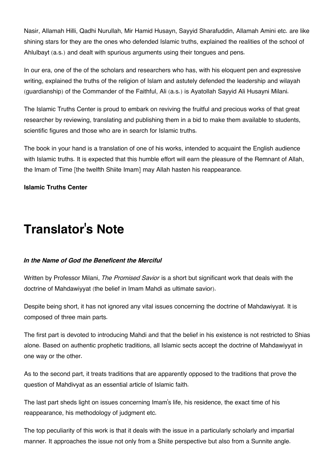Nasir, Allamah Hilli, Qadhi Nurullah, Mir Hamid Husayn, Sayyid Sharafuddin, Allamah Amini etc. are like shining stars for they are the ones who defended Islamic truths, explained the realities of the school of Ahlulbayt (a.s.) and dealt with spurious arguments using their tongues and pens.

In our era, one of the of the scholars and researchers who has, with his eloquent pen and expressive writing, explained the truths of the religion of Islam and astutely defended the leadership and wilayah (guardianship) of the Commander of the Faithful, Ali (a.s.) is Ayatollah Sayyid Ali Husayni Milani.

The Islamic Truths Center is proud to embark on reviving the fruitful and precious works of that great researcher by reviewing, translating and publishing them in a bid to make them available to students, scientific figures and those who are in search for Islamic truths.

The book in your hand is a translation of one of his works, intended to acquaint the English audience with Islamic truths. It is expected that this humble effort will earn the pleasure of the Remnant of Allah, the Imam of Time [the twelfth Shiite Imam] may Allah hasten his reappearance.

#### **Islamic Truths Center**

# **Translator's Note**

#### *In the Name of God the Beneficent the Merciful*

Written by Professor Milani, *The Promised Savior* is a short but significant work that deals with the doctrine of Mahdawiyyat (the belief in Imam Mahdi as ultimate savior).

Despite being short, it has not ignored any vital issues concerning the doctrine of Mahdawiyyat. It is composed of three main parts.

The first part is devoted to introducing Mahdi and that the belief in his existence is not restricted to Shias alone. Based on authentic prophetic traditions, all Islamic sects accept the doctrine of Mahdawiyyat in one way or the other.

As to the second part, it treats traditions that are apparently opposed to the traditions that prove the question of Mahdivyat as an essential article of Islamic faith.

The last part sheds light on issues concerning Imam's life, his residence, the exact time of his reappearance, his methodology of judgment etc.

The top peculiarity of this work is that it deals with the issue in a particularly scholarly and impartial manner. It approaches the issue not only from a Shiite perspective but also from a Sunnite angle.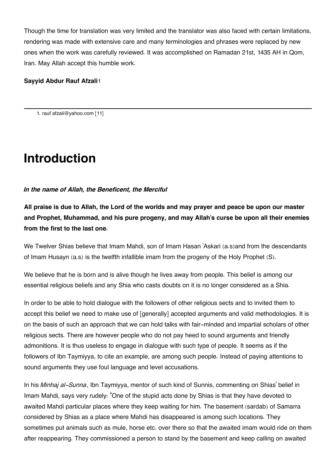Though the time for translation was very limited and the translator was also faced with certain limitations, rendering was made with extensive care and many terminologies and phrases were replaced by new ones when the work was carefully reviewed. It was accomplished on Ramadan 21st, 1435 AH in Qom, Iran. May Allah accept this humble work.

#### **Sayyid Abdur Rauf Afzali**[1](#page--1-0)

[1.](#page--1-0) rauf [afzali@yahoo.com](mailto:afzali@yahoo.com) [11]

# **Introduction**

#### *In the name of Allah, the Beneficent, the Merciful*

**All praise is due to Allah, the Lord of the worlds and may prayer and peace be upon our master and Prophet, Muhammad, and his pure progeny, and may Allah's curse be upon all their enemies from the first to the last one.**

We Twelver Shias believe that Imam Mahdi, son of Imam Hasan 'Askari (a.s)and from the descendants of Imam Husayn (a.s) is the twelfth infallible imam from the progeny of the Holy Prophet (S).

We believe that he is born and is alive though he lives away from people. This belief is among our essential religious beliefs and any Shia who casts doubts on it is no longer considered as a Shia.

In order to be able to hold dialogue with the followers of other religious sects and to invited them to accept this belief we need to make use of [generally] accepted arguments and valid methodologies. It is on the basis of such an approach that we can hold talks with fair-minded and impartial scholars of other religious sects. There are however people who do not pay heed to sound arguments and friendly admonitions. It is thus useless to engage in dialogue with such type of people. It seems as if the followers of Ibn Taymiyya, to cite an example, are among such people. Instead of paying attentions to sound arguments they use foul language and level accusations.

In his *Minhaj al-Sunna*, Ibn Taymiyya, mentor of such kind of Sunnis, commenting on Shias' belief in Imam Mahdi, says very rudely: "One of the stupid acts done by Shias is that they have devoted to awaited Mahdi particular places where they keep waiting for him. The basement (sardab) of Samarra considered by Shias as a place where Mahdi has disappeared is among such locations. They sometimes put animals such as mule, horse etc. over there so that the awaited imam would ride on them after reappearing. They commissioned a person to stand by the basement and keep calling on awaited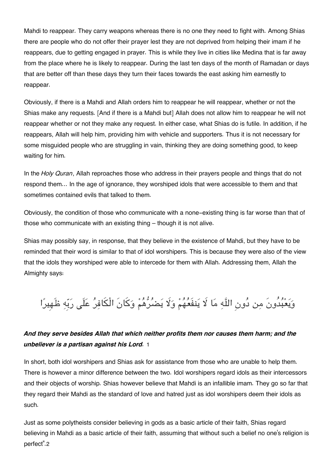Mahdi to reappear. They carry weapons whereas there is no one they need to fight with. Among Shias there are people who do not offer their prayer lest they are not deprived from helping their imam if he reappears, due to getting engaged in prayer. This is while they live in cities like Medina that is far away from the place where he is likely to reappear. During the last ten days of the month of Ramadan or days that are better off than these days they turn their faces towards the east asking him earnestly to reappear.

Obviously, if there is a Mahdi and Allah orders him to reappear he will reappear, whether or not the Shias make any requests. [And if there is a Mahdi but] Allah does not allow him to reappear he will not reappear whether or not they make any request. In either case, what Shias do is futile. In addition, if he reappears, Allah will help him, providing him with vehicle and supporters. Thus it is not necessary for some misguided people who are struggling in vain, thinking they are doing something good, to keep waiting for him.

In the *Holy Quran*, Allah reproaches those who address in their prayers people and things that do not respond them… In the age of ignorance, they worshiped idols that were accessible to them and that sometimes contained evils that talked to them.

Obviously, the condition of those who communicate with a none-existing thing is far worse than that of those who communicate with an existing thing – though it is not alive.

Shias may possibly say, in response, that they believe in the existence of Mahdi, but they have to be reminded that their word is similar to that of idol worshipers. This is because they were also of the view that the idols they worshiped were able to intercede for them with Allah. Addressing them, Allah the Almighty says:

وَيَعْبُدُونَ مِن دُونِ اللَّهِ مَا لَا يَنفَعُهُمْ وَلَا يَضُرُّهُمْ وَكَانَ الْكَافِرُ عَلَى رَبِّهِ ظَهِيرًا

## *And they serve besides Allah that which neither profits them nor causes them harm; and the unbeliever is a partisan against his Lord.* [1](#page--1-0)

In short, both idol worshipers and Shias ask for assistance from those who are unable to help them. There is however a minor difference between the two. Idol worshipers regard idols as their intercessors and their objects of worship. Shias however believe that Mahdi is an infallible imam. They go so far that they regard their Mahdi as the standard of love and hatred just as idol worshipers deem their idols as such.

Just as some polytheists consider believing in gods as a basic article of their faith, Shias regard believing in Mahdi as a basic article of their faith, assuming that without such a belief no one's religion is perfect".[2](#page--1-0)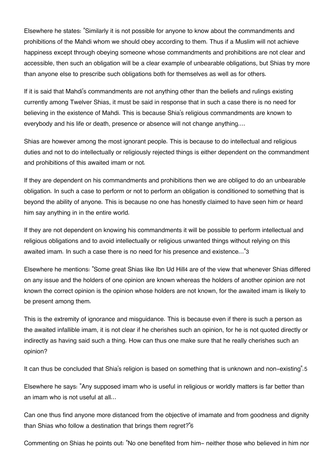Elsewhere he states: "Similarly it is not possible for anyone to know about the commandments and prohibitions of the Mahdi whom we should obey according to them. Thus if a Muslim will not achieve happiness except through obeying someone whose commandments and prohibitions are not clear and accessible, then such an obligation will be a clear example of unbearable obligations, but Shias try more than anyone else to prescribe such obligations both for themselves as well as for others.

If it is said that Mahdi's commandments are not anything other than the beliefs and rulings existing currently among Twelver Shias, it must be said in response that in such a case there is no need for believing in the existence of Mahdi. This is because Shia's religious commandments are known to everybody and his life or death, presence or absence will not change anything….

Shias are however among the most ignorant people. This is because to do intellectual and religious duties and not to do intellectually or religiously rejected things is either dependent on the commandment and prohibitions of this awaited imam or not.

If they are dependent on his commandments and prohibitions then we are obliged to do an unbearable obligation. In such a case to perform or not to perform an obligation is conditioned to something that is beyond the ability of anyone. This is because no one has honestly claimed to have seen him or heard him say anything in in the entire world.

If they are not dependent on knowing his commandments it will be possible to perform intellectual and religious obligations and to avoid intellectually or religious unwanted things without relying on this awaited imam. In such a case there is no need for his presence and existence…"[3](#page--1-0)

Elsewhere he mentions: "Some great Shias like Ibn Ud Hill[4](#page--1-0) are of the view that whenever Shias differed on any issue and the holders of one opinion are known whereas the holders of another opinion are not known the correct opinion is the opinion whose holders are not known, for the awaited imam is likely to be present among them.

This is the extremity of ignorance and misguidance. This is because even if there is such a person as the awaited infallible imam, it is not clear if he cherishes such an opinion, for he is not quoted directly or indirectly as having said such a thing. How can thus one make sure that he really cherishes such an opinion?

It can thus be concluded that Shia's religion is based on something that is unknown and non-existing".[5](#page--1-0)

Elsewhere he says: "Any supposed imam who is useful in religious or worldly matters is far better than an imam who is not useful at all…

Can one thus find anyone more distanced from the objective of imamate and from goodness and dignity than Shias who follow a destination that brings them regret?"[6](#page--1-0)

Commenting on Shias he points out: "No one benefited from him- neither those who believed in him nor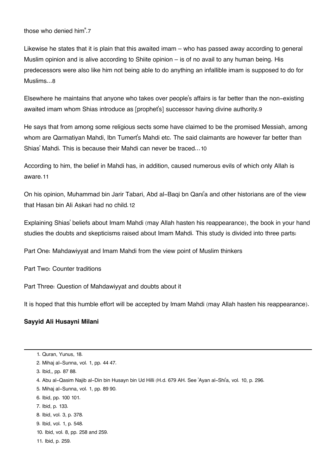those who denied him".[7](#page--1-0)

Likewise he states that it is plain that this awaited imam – who has passed away according to general Muslim opinion and is alive according to Shiite opinion – is of no avail to any human being. His predecessors were also like him not being able to do anything an infallible imam is supposed to do for Muslims…[8](#page--1-0)

Elsewhere he maintains that anyone who takes over people's affairs is far better than the non-existing awaited imam whom Shias introduce as [prophet's] successor having divine authority.[9](#page--1-0)

He says that from among some religious sects some have claimed to be the promised Messiah, among whom are Qarmatiyan Mahdi, Ibn Tumert's Mahdi etc. The said claimants are however far better than Shias' Mahdi. This is because their Mahdi can never be traced…[10](#page--1-0)

According to him, the belief in Mahdi has, in addition, caused numerous evils of which only Allah is aware.[11](#page--1-0)

On his opinion, Muhammad bin Jarir Tabari, Abd al-Baqi bn Qani'a and other historians are of the view that Hasan bin Ali Askari had no child.[12](#page--1-0)

Explaining Shias' beliefs about Imam Mahdi (may Allah hasten his reappearance), the book in your hand studies the doubts and skepticisms raised about Imam Mahdi. This study is divided into three parts:

Part One: Mahdawiyyat and Imam Mahdi from the view point of Muslim thinkers

Part Two: Counter traditions

Part Three: Question of Mahdawiyyat and doubts about it

It is hoped that this humble effort will be accepted by Imam Mahdi (may Allah hasten his reappearance).

#### **Sayyid Ali Husayni Milani**

- [4.](#page--1-0) Abu al-Qasim Najib al-Din bin Husayn bin Ud Hilli (H.d. 679 AH. See 'Ayan al-Shi'a, vol. 10, p. 296.
- [5.](#page--1-0) Mihaj al-Sunna, vol. 1, pp. 89 90.
- [6.](#page--1-0) Ibid, pp. 100 101.
- [7.](#page--1-0) Ibid, p. 133.
- [8.](#page--1-0) Ibid, vol. 3, p. 378.
- [9.](#page--1-0) Ibid, vol. 1, p. 548.
- [10.](#page--1-0) Ibid, vol. 8, pp. 258 and 259.
- [11.](#page--1-0) Ibid, p. 259.

[<sup>1.</sup>](#page--1-0) Quran, Yunus, 18.

[<sup>2.</sup>](#page--1-0) Mihaj al-Sunna, vol. 1, pp. 44 47.

[<sup>3.</sup>](#page--1-0) Ibid,, pp. 87 88.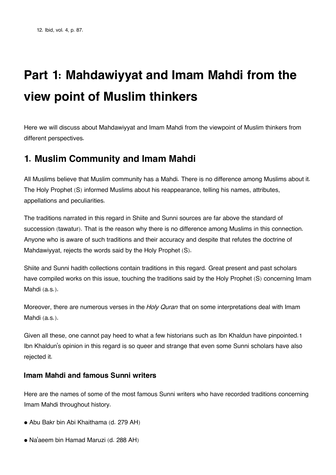# **Part 1: Mahdawiyyat and Imam Mahdi from the view point of Muslim thinkers**

Here we will discuss about Mahdawiyyat and Imam Mahdi from the viewpoint of Muslim thinkers from different perspectives.

# **[1. Muslim Community and Imam Mahdi](#page--1-0)**

All Muslims believe that Muslim community has a Mahdi. There is no difference among Muslims about it. The Holy Prophet (S) informed Muslims about his reappearance, telling his names, attributes, appellations and peculiarities.

The traditions narrated in this regard in Shiite and Sunni sources are far above the standard of succession (tawatur). That is the reason why there is no difference among Muslims in this connection. Anyone who is aware of such traditions and their accuracy and despite that refutes the doctrine of Mahdawiyyat, rejects the words said by the Holy Prophet (S).

Shiite and Sunni hadith collections contain traditions in this regard. Great present and past scholars have compiled works on this issue, touching the traditions said by the Holy Prophet (S) concerning Imam Mahdi (a.s.).

Moreover, there are numerous verses in the *Holy Quran* that on some interpretations deal with Imam Mahdi (a.s.).

Given all these, one cannot pay heed to what a few historians such as Ibn Khaldun have pinpointed.[1](#page--1-0) Ibn Khaldun's opinion in this regard is so queer and strange that even some Sunni scholars have also rejected it.

#### **[Imam Mahdi and famous Sunni writers](#page--1-0)**

Here are the names of some of the most famous Sunni writers who have recorded traditions concerning Imam Mahdi throughout history.

- Abu Bakr bin Abi Khaithama (d. 279 AH)
- Na'aeem bin Hamad Maruzi (d. 288 AH)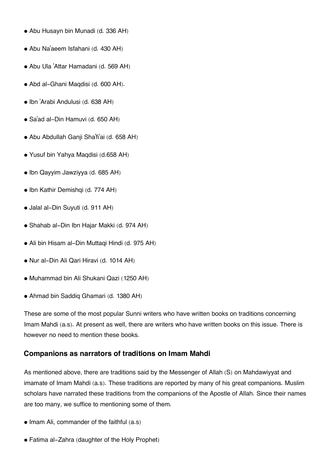- Abu Husayn bin Munadi (d. 336 AH)
- Abu Na'aeem Isfahani (d. 430 AH)
- Abu Ula 'Attar Hamadani (d. 569 AH)
- Abd al-Ghani Maqdisi (d. 600 AH).
- Ibn 'Arabi Andulusi (d. 638 AH)
- Sa'ad al-Din Hamuvi (d. 650 AH)
- Abu Abdullah Ganji Sha'fi'ai (d. 658 AH)
- Yusuf bin Yahya Maqdisi (d.658 AH)
- Ibn Qayyim Jawziyya (d. 685 AH)
- Ibn Kathir Demishqi (d. 774 AH)
- Jalal al-Din Suyuti (d. 911 AH)
- Shahab al-Din Ibn Hajar Makki (d. 974 AH)
- Ali bin Hisam al-Din Muttaqi Hindi (d. 975 AH)
- Nur al-Din Ali Qari Hiravi (d. 1014 AH)
- Muhammad bin Ali Shukani Qazi (1250 AH)
- Ahmad bin Saddiq Ghamari (d. 1380 AH)

These are some of the most popular Sunni writers who have written books on traditions concerning Imam Mahdi (a.s). At present as well, there are writers who have written books on this issue. There is however no need to mention these books.

#### **[Companions as narrators of traditions on Imam Mahdi](#page--1-0)**

As mentioned above, there are traditions said by the Messenger of Allah (S) on Mahdawiyyat and imamate of Imam Mahdi (a.s). These traditions are reported by many of his great companions. Muslim scholars have narrated these traditions from the companions of the Apostle of Allah. Since their names are too many, we suffice to mentioning some of them.

- Imam Ali, commander of the faithful (a.s)
- Fatima al-Zahra (daughter of the Holy Prophet)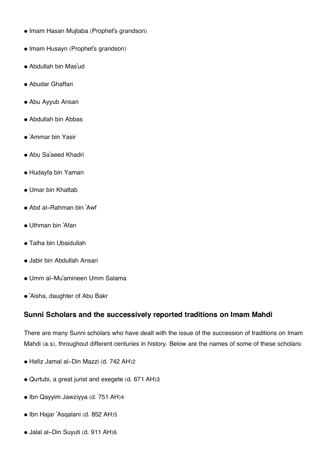- Imam Hasan Mujtaba (Prophet's grandson)
- Imam Husayn (Prophet's grandson)
- Abdullah bin Mas'ud
- Abudar Ghaffari
- Abu Ayyub Ansari
- Abdullah bin Abbas
- 'Ammar bin Yasir
- Abu Sa'aeed Khadri
- Hudayfa bin Yaman
- Umar bin Khattab
- Abd al-Rahman bin 'Awf
- Uthman bin 'Afan
- Talha bin Ubaidullah
- Jabir bin Abdullah Ansari
- Umm al-Mu'amineen Umm Salama
- 'Aisha, daughter of Abu Bakr

#### **[Sunni Scholars and the successively reported traditions on Imam Mahdi](#page--1-0)**

There are many Sunni scholars who have dealt with the issue of the succession of traditions on Imam Mahdi (a.s), throughout different centuries in history. Below are the names of some of these scholars:

- Hafiz Jamal al-Din Mazzi (d. 742 AH)[2](#page--1-0)
- Qurtubi, a great jurist and exegete (d. 671 AH)[3](#page--1-0)
- Ibn Qayyim Jawziyya (d. 751 AH)[4](#page--1-0)
- Ibn Hajar 'Asqalani (d. 852 AH)[5](#page--1-0)
- Jalal al-Din Suyuti (d. 911 AH)[6](#page--1-0)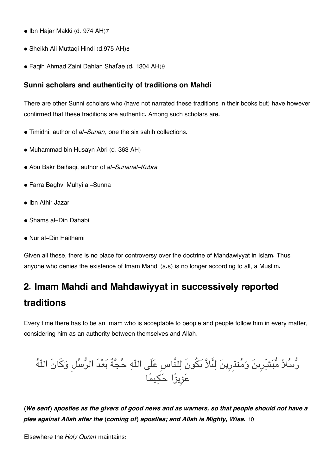- Ibn Hajar Makki (d. 974 AH)[7](#page--1-0)
- Sheikh Ali Muttaqi Hindi (d.975 AH)[8](#page--1-0)
- Faqih Ahmad Zaini Dahlan Shaf'ae (d. 1304 AH)[9](#page--1-0)

#### **[Sunni scholars and authenticity of traditions on Mahdi](#page--1-0)**

There are other Sunni scholars who (have not narrated these traditions in their books but) have however confirmed that these traditions are authentic. Among such scholars are:

- Timidhi, author of *al-Sunan*, one the six sahih collections.
- Muhammad bin Husayn Abri (d. 363 AH)
- Abu Bakr Baihaqi, author of *al-Sunanal-Kubra*
- Farra Baghvi Muhyi al-Sunna
- Ibn Athir Jazari
- Shams al-Din Dahabi
- Nur al-Din Haithami

Given all these, there is no place for controversy over the doctrine of Mahdawiyyat in Islam. Thus anyone who denies the existence of Imam Mahdi (a.s) is no longer according to all, a Muslim.

# **[2. Imam Mahdi and Mahdawiyyat in successively reported](#page--1-0) [traditions](#page--1-0)**

Every time there has to be an Imam who is acceptable to people and people follow him in every matter, considering him as an authority between themselves and Allah.

رَسَلاً مّبَشّرِينَ وَمَنذرينَ لِنَلاّ يَكونَ لِلنّاسِ عَلَى اللّهِ حَجّةً بَعْدَ الرّسَلَ وَكانَ اللّهَ عَزِيزَا حَكِيمَا

*(We sent) apostles as the givers of good news and as warners, so that people should not have a plea against Allah after the (coming of) apostles; and Allah is Mighty, Wise.* [10](#page--1-0)

Elsewhere the *Holy Quran* maintains: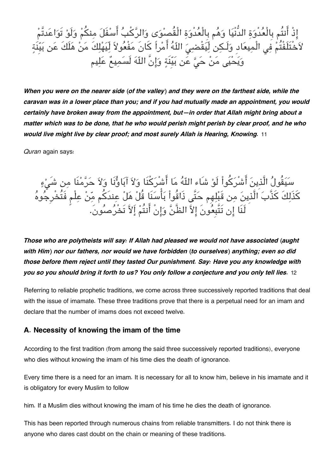إِذْ أَنتُم بِالْعُدْوَةِ الدُّنْيَا وَهُم بِالْعُدْوَةِ الْقُصوْىَ وَالرَّكْبُ أَسْفَلَ مِنكُمْ وَلَوْ تَوَاعَدتَّمْ لأَخْتَلَفْتُمْ فِي الْمِيعَادِ وَلَـكِنْ لِيَقْضِيَ اللّهَ امْراً كانَ مَفْعُولاً لِيَهْلِكَ مَنْ هَلَكَ عَن بَيِّنَةٍ وَيَحْيَى مَنْ حَيَّ عَن بَيِّنَةٍ وَإِنَّ اللَّهَ لَسَمِيعٌ عَلِيم

*When you were on the nearer side (of the valley) and they were on the farthest side, while the caravan was in a lower place than you; and if you had mutually made an appointment, you would certainly have broken away from the appointment, but—in order that Allah might bring about a matter which was to be done, that he who would perish might perish by clear proof, and he who would live might live by clear proof; and most surely Allah is Hearing, Knowing.* [11](#page--1-0)

*Quran* again says:

سيقُول الَّذِين اشْركواْ لَو شَاء اله ما اشْركنَا ولا آباونَا ولا حرمنَا من شَء كذَلِكَ كذَّبَ الَّذِينَ مِن قَبْلِهِم حَتَّى ذَاقُواْ بَأْسَنَا قُلْ هَلْ عِندَكم مِّنْ عِلْم فَتُخْرِجُوهَ لَنَا إِن تَتَّبِعُونَ إِلاَّ الظَّنَّ وَإِنْ أَنتُمْ إَلاَّ تَخْرُصُونَ.

*Those who are polytheists will say: If Allah had pleased we would not have associated (aught with Him) nor our fathers, nor would we have forbidden (to ourselves) anything; even so did those before them reject until they tasted Our punishment. Say: Have you any knowledge with you so you should bring it forth to us? You only follow a conjecture and you only tell lies.* [12](#page--1-0)

Referring to reliable prophetic traditions, we come across three successively reported traditions that deal with the issue of imamate. These three traditions prove that there is a perpetual need for an imam and declare that the number of imams does not exceed twelve.

#### **[A. Necessity of knowing the imam of the time](#page--1-0)**

According to the first tradition (from among the said three successively reported traditions), everyone who dies without knowing the imam of his time dies the death of ignorance.

Every time there is a need for an imam. It is necessary for all to know him, believe in his imamate and it is obligatory for every Muslim to follow

him. If a Muslim dies without knowing the imam of his time he dies the death of ignorance.

This has been reported through numerous chains from reliable transmitters. I do not think there is anyone who dares cast doubt on the chain or meaning of these traditions.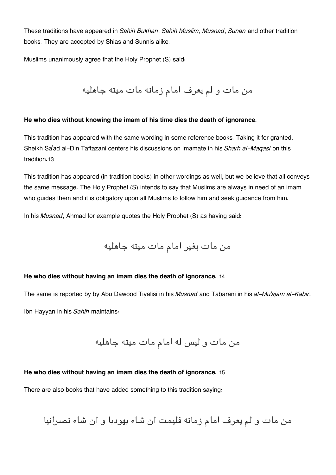These traditions have appeared in *Sahih Bukhari*, *Sahih Muslim*, *Musnad*, *Sunan* and other tradition books. They are accepted by Shias and Sunnis alike.

Muslims unanimously agree that the Holy Prophet (S) said:

# من مات و لم یعرف امام زمانه مات میته جاهلیه

#### **He who dies without knowing the imam of his time dies the death of ignorance.**

This tradition has appeared with the same wording in some reference books. Taking it for granted, Sheikh Sa'ad al-Din Taftazani centers his discussions on imamate in his *Sharh al-Maqasi* on this tradition.[13](#page--1-0)

This tradition has appeared (in tradition books) in other wordings as well, but we believe that all conveys the same message. The Holy Prophet (S) intends to say that Muslims are always in need of an imam who guides them and it is obligatory upon all Muslims to follow him and seek guidance from him.

In his *Musnad*, Ahmad for example quotes the Holy Prophet (S) as having said:

من مات بغیر امام مات میته جاهلیه

#### **He who dies without having an imam dies the death of ignorance.** [14](#page--1-0)

The same is reported by by Abu Dawood Tiyalisi in his *Musnad* and Tabarani in his *al-Mu'ajam al-Kabir*. Ibn Hayyan in his *Sahih* maintains:

من مات و لیس له امام مات میته جاهلیه

#### **He who dies without having an imam dies the death of ignorance.** [15](#page--1-0)

There are also books that have added something to this tradition saying:

من مات و لم یعرف امام زمانه فلیمت ان شاء یهودیا و ان شاء نصرانیا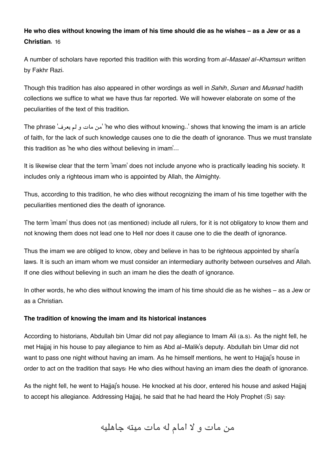### **He who dies without knowing the imam of his time should die as he wishes – as a Jew or as a Christian.** [16](#page--1-0)

A number of scholars have reported this tradition with this wording from *al-Masael al-Khamsun* written by Fakhr Razi.

Though this tradition has also appeared in other wordings as well in *Sahih*, *Sunan* and *Musnad* hadith collections we suffice to what we have thus far reported. We will however elaborate on some of the peculiarities of the text of this tradition.

The phrase 'یعرف لم و مات من' 'he who dies without knowing..' shows that knowing the imam is an article of faith, for the lack of such knowledge causes one to die the death of ignorance. Thus we must translate this tradition as 'he who dies without believing in imam'…

It is likewise clear that the term 'imam' does not include anyone who is practically leading his society. It includes only a righteous imam who is appointed by Allah, the Almighty.

Thus, according to this tradition, he who dies without recognizing the imam of his time together with the peculiarities mentioned dies the death of ignorance.

The term 'imam' thus does not (as mentioned) include all rulers, for it is not obligatory to know them and not knowing them does not lead one to Hell nor does it cause one to die the death of ignorance.

Thus the imam we are obliged to know, obey and believe in has to be righteous appointed by shari'a laws. It is such an imam whom we must consider an intermediary authority between ourselves and Allah. If one dies without believing in such an imam he dies the death of ignorance.

In other words, he who dies without knowing the imam of his time should die as he wishes – as a Jew or as a Christian.

#### **[The tradition of knowing the imam and its historical instances](#page--1-0)**

According to historians, Abdullah bin Umar did not pay allegiance to Imam Ali (a.s). As the night fell, he met Hajjaj in his house to pay allegiance to him as Abd al-Malik's deputy. Abdullah bin Umar did not want to pass one night without having an imam. As he himself mentions, he went to Hajjaj's house in order to act on the tradition that says: He who dies without having an imam dies the death of ignorance.

As the night fell, he went to Hajjaj's house. He knocked at his door, entered his house and asked Hajjaj to accept his allegiance. Addressing Hajjaj, he said that he had heard the Holy Prophet (S) say:

من مات و لا امام له مات میته جاهلیه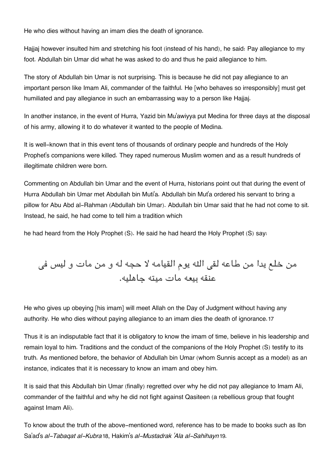He who dies without having an imam dies the death of ignorance.

Hajjaj however insulted him and stretching his foot (instead of his hand), he said: Pay allegiance to my foot. Abdullah bin Umar did what he was asked to do and thus he paid allegiance to him.

The story of Abdullah bin Umar is not surprising. This is because he did not pay allegiance to an important person like Imam Ali, commander of the faithful. He [who behaves so irresponsibly] must get humiliated and pay allegiance in such an embarrassing way to a person like Hajjaj.

In another instance, in the event of Hurra, Yazid bin Mu'awiyya put Medina for three days at the disposal of his army, allowing it to do whatever it wanted to the people of Medina.

It is well-known that in this event tens of thousands of ordinary people and hundreds of the Holy Prophet's companions were killed. They raped numerous Muslim women and as a result hundreds of illegitimate children were born.

Commenting on Abdullah bin Umar and the event of Hurra, historians point out that during the event of Hurra Abdullah bin Umar met Abdullah bin Muti'a. Abdullah bin Mut'a ordered his servant to bring a pillow for Abu Abd al-Rahman (Abdullah bin Umar). Abdullah bin Umar said that he had not come to sit. Instead, he said, he had come to tell him a tradition which

he had heard from the Holy Prophet (S). He said he had heard the Holy Prophet (S) say:

من خلع یدا من طاعه لقی الله یوم القیامه لا حجه له و من مات و لیس فی عنقه بیعه مات میته جاهلیه.

He who gives up obeying [his imam] will meet Allah on the Day of Judgment without having any authority. He who dies without paying allegiance to an imam dies the death of ignorance.[17](#page--1-0)

Thus it is an indisputable fact that it is obligatory to know the imam of time, believe in his leadership and remain loyal to him. Traditions and the conduct of the companions of the Holy Prophet (S) testify to its truth. As mentioned before, the behavior of Abdullah bin Umar (whom Sunnis accept as a model) as an instance, indicates that it is necessary to know an imam and obey him.

It is said that this Abdullah bin Umar (finally) regretted over why he did not pay allegiance to Imam Ali, commander of the faithful and why he did not fight against Qasiteen (a rebellious group that fought against Imam Ali).

To know about the truth of the above-mentioned word, reference has to be made to books such as Ibn Sa'ad's *al-Tabaqat al-Kubra*[18](#page--1-0), Hakim's *al-Mustadrak 'Ala al-Sahihayn*[19](#page--1-0).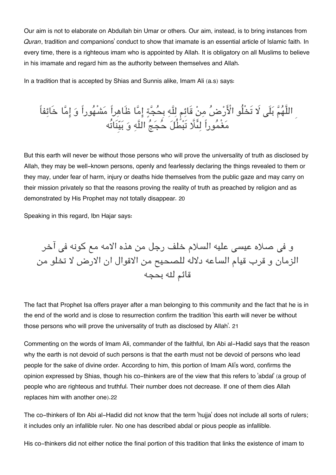Our aim is not to elaborate on Abdullah bin Umar or others. Our aim, instead, is to bring instances from *Quran*, tradition and companions' conduct to show that imamate is an essential article of Islamic faith. In every time, there is a righteous imam who is appointed by Allah. It is obligatory on all Muslims to believe in his imamate and regard him as the authority between themselves and Allah.

In a tradition that is accepted by Shias and Sunnis alike, Imam Ali (a.s) says:

ِ اللَّهُمَّ بَلَى لا تَخْلُو الأَرْضُ مِنْ قَائِمٍ لِلَّهِ بِحَجَّةٍ إِمَّا ظَاهِراً مَشْهُوراً وَ إِمَّا خَائِفاً مَغْمُوراً لِنَّلًا تَبْطُلُ حَجَجُ اللَّهِ وَ بَيِّنَاتُه

But this earth will never be without those persons who will prove the universality of truth as disclosed by Allah, they may be well-known persons, openly and fearlessly declaring the things revealed to them or they may, under fear of harm, injury or deaths hide themselves from the public gaze and may carry on their mission privately so that the reasons proving the reality of truth as preached by religion and as demonstrated by His Prophet may not totally disappear. [20](#page--1-0)

Speaking in this regard, Ibn Hajar says:

و في صلاه عیسی علیه السلام خلف رجل من هذه الامه مع کونه في آخر الزمان و قرب قیام الساعه دلاله للصحیح من الاقوال ان الارض لا تخلو من قائم له بحجه

The fact that Prophet Isa offers prayer after a man belonging to this community and the fact that he is in the end of the world and is close to resurrection confirm the tradition 'this earth will never be without those persons who will prove the universality of truth as disclosed by Allah'. [21](#page--1-0)

Commenting on the words of Imam Ali, commander of the faithful, Ibn Abi al-Hadid says that the reason why the earth is not devoid of such persons is that the earth must not be devoid of persons who lead people for the sake of divine order. According to him, this portion of Imam Ali's word, confirms the opinion expressed by Shias, though his co-thinkers are of the view that this refers to 'abdal' (a group of people who are righteous and truthful. Their number does not decrease. If one of them dies Allah replaces him with another one).[22](#page--1-0)

The co-thinkers of Ibn Abi al-Hadid did not know that the term 'hujja' does not include all sorts of rulers; it includes only an infallible ruler. No one has described abdal or pious people as infallible.

His co-thinkers did not either notice the final portion of this tradition that links the existence of imam to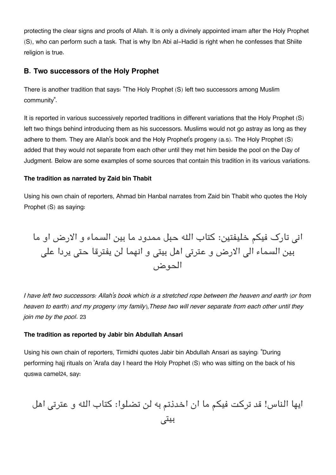protecting the clear signs and proofs of Allah. It is only a divinely appointed imam after the Holy Prophet (S), who can perform such a task. That is why Ibn Abi al-Hadid is right when he confesses that Shiite religion is true.

### **[B. Two successors of the Holy Prophet](#page--1-0)**

There is another tradition that says: "The Holy Prophet (S) left two successors among Muslim community".

It is reported in various successively reported traditions in different variations that the Holy Prophet (S) left two things behind introducing them as his successors. Muslims would not go astray as long as they adhere to them. They are Allah's book and the Holy Prophet's progeny (a.s). The Holy Prophet (S) added that they would not separate from each other until they met him beside the pool on the Day of Judgment. Below are some examples of some sources that contain this tradition in its various variations.

#### **[The tradition as narrated by Zaid bin Thabit](#page--1-0)**

Using his own chain of reporters, Ahmad bin Hanbal narrates from Zaid bin Thabit who quotes the Holy Prophet (S) as saying:

ان تارک فیم خلیفتین: کتاب اله حبل ممدود ما بین السماء و الارض او ما بین السماء ال الارض و عترت اهل بیت و انهما لن یفترقا حت یردا عل الحوض

*I have left two successors: Allah's book which is a stretched rope between the heaven and earth (or from heaven to earth) and my progeny (my family),These two will never separate from each other until they join me by the pool*. [23](#page--1-0)

#### **[The tradition as reported by Jabir bin Abdullah Ansari](#page--1-0)**

Using his own chain of reporters, Tirmidhi quotes Jabir bin Abdullah Ansari as saying: "During performing hajj rituals on 'Arafa day I heard the Holy Prophet (S) who was sitting on the back of his quswa camel[24](#page--1-0), say:

ایها الناس! قد ترکت فیم ما ان اخدذتم به لن تضلوا: کتاب اله و عترت اهل بیت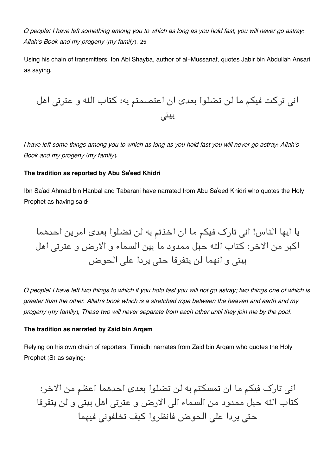*O people! I have left something among you to which as long as you hold fast, you will never go astray: Allah's Book and my progeny (my family)*. [25](#page--1-0)

Using his chain of transmitters, Ibn Abi Shayba, author of al-Mussanaf, quotes Jabir bin Abdullah Ansari as saying:

ان ترکت فیم ما لن تضلوا بعدی ان اعتصمتم به: کتاب اله و عترت اهل بیت

*I have left some things among you to which as long as you hold fast you will never go astray: Allah's Book and my progeny (my family).*

#### **[The tradition as reported by Abu Sa](#page--1-0)'eed Khidri**

Ibn Sa'ad Ahmad bin Hanbal and Tabarani have narrated from Abu Sa'eed Khidri who quotes the Holy Prophet as having said:

یا ایها الناس! ان تارک فیم ما ان اخذتم به لن تضلوا بعدی امرین احدهما اکبر من الاخر: کتاب اله حبل ممدود ما بین السماء و الارض و عترت اهل بیت و انهما لن یتفرقا حت یردا عل الحوض

*O people! I have left two things to which if you hold fast you will not go astray; two things one of which is greater than the other. Allah's book which is a stretched rope between the heaven and earth and my progeny (my family), These two will never separate from each other until they join me by the pool*.

#### **[The tradition as narrated by Zaid bin Arqam](#page--1-0)**

Relying on his own chain of reporters, Tirmidhi narrates from Zaid bin Arqam who quotes the Holy Prophet (S) as saying:

انی تارک فیکم ما ان تمسکتم به لن تضلوا بعدی احدهما اعظم من الاخر: كتاب الله حبل ممدود من السماء الى الارض و عترتى اهل بيتى و لن يتفرقا حتی یردا علی الحوض فانظروا کیف تخلفونی فیهما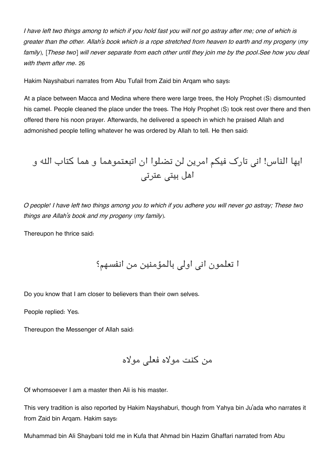*I have left two things among to which if you hold fast you will not go astray after me; one of which is greater than the other. Allah's book which is a rope stretched from heaven to earth and my progeny (my family), [These two] will never separate from each other until they join me by the pool*.*See how you deal with them after me*. [26](#page--1-0)

Hakim Nayshaburi narrates from Abu Tufail from Zaid bin Arqam who says:

At a place between Macca and Medina where there were large trees, the Holy Prophet (S) dismounted his camel. People cleaned the place under the trees. The Holy Prophet (S) took rest over there and then offered there his noon prayer. Afterwards, he delivered a speech in which he praised Allah and admonished people telling whatever he was ordered by Allah to tell. He then said:

ایها الناس! انی تارک فیکم امرین لن تضلوا ان اتبعتموهما و هما کتاب الله و اهل بیتی عترتی

*O people! I have left two things among you to which if you adhere you will never go astray; These two things are Allah's book and my progeny (my family).*

Thereupon he thrice said:

ا تعلمون انی اولی بالمؤمنین من انفسهم؟

Do you know that I am closer to believers than their own selves.

People replied: Yes.

Thereupon the Messenger of Allah said:

من کنت مولاه فعل مولاه

Of whomsoever I am a master then Ali is his master.

This very tradition is also reported by Hakim Nayshaburi, though from Yahya bin Ju'ada who narrates it from Zaid bin Arqam. Hakim says:

Muhammad bin Ali Shaybani told me in Kufa that Ahmad bin Hazim Ghaffari narrated from Abu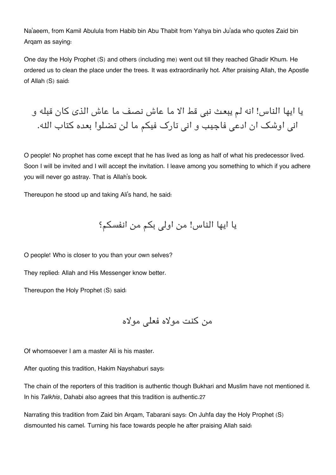Na'aeem, from Kamil Abulula from Habib bin Abu Thabit from Yahya bin Ju'ada who quotes Zaid bin Arqam as saying:

One day the Holy Prophet (S) and others (including me) went out till they reached Ghadir Khum. He ordered us to clean the place under the trees. It was extraordinarily hot. After praising Allah, the Apostle of Allah (S) said:

یا ایها الناس! انه لم یبعث نب قط الا ما عاش نصف ما عاش الذی کان قبله و انی اوشک ان ادعی فاجیب و انی تارک فیکم ما لن تضلوا بعده کتاب الله.

O people! No prophet has come except that he has lived as long as half of what his predecessor lived. Soon I will be invited and I will accept the invitation. I leave among you something to which if you adhere you will never go astray. That is Allah's book.

Thereupon he stood up and taking Ali's hand, he said:

یا ایها الناس! من اولی بکم من انفسکم؟

O people! Who is closer to you than your own selves?

They replied: Allah and His Messenger know better.

Thereupon the Holy Prophet (S) said:

من کنت مولاه فعل مولاه

Of whomsoever I am a master Ali is his master.

After quoting this tradition, Hakim Nayshaburi says:

The chain of the reporters of this tradition is authentic though Bukhari and Muslim have not mentioned it. In his *Talkhis*, Dahabi also agrees that this tradition is authentic.[27](#page--1-0)

Narrating this tradition from Zaid bin Arqam, Tabarani says: On Juhfa day the Holy Prophet (S) dismounted his camel. Turning his face towards people he after praising Allah said: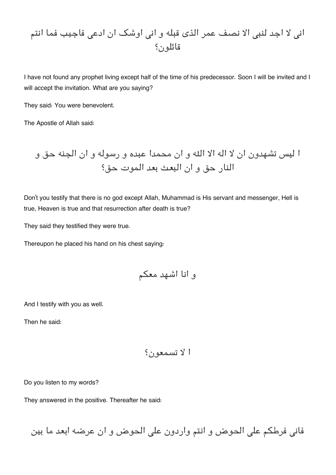# انی لا اجد لنبی الا نصف عمر الذی قبله و انی اوشک ان ادعی فاجیب فما انتم قائلون؟

I have not found any prophet living except half of the time of his predecessor. Soon I will be invited and I will accept the invitation. What are you saying?

They said: You were benevolent.

The Apostle of Allah said:

ا لیس تشهدون ان لا اله الا اله و ان محمدا عبده و رسوله و ان الجنه حق و النار حق و ان البعث بعد الموت حق؟

Don't you testify that there is no god except Allah, Muhammad is His servant and messenger, Hell is true, Heaven is true and that resurrection after death is true?

They said they testified they were true.

Thereupon he placed his hand on his chest saying:

و انا اشهد معم

And I testify with you as well.

Then he said:

ا لا تسمعون؟

Do you listen to my words?

They answered in the positive. Thereafter he said:

فانی فرطکم علی الحوض و انتم واردون علی الحوض و ان عرضه ابعد ما بین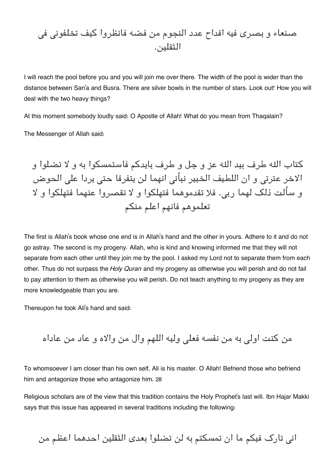# صنعاء و بصری فیه اقداح عدد النجوم من فضه فانظروا کیف تخلفون ف الثقلین.

I will reach the pool before you and you will join me over there. The width of the pool is wider than the distance between San'a and Busra. There are silver bowls in the number of stars. Look out! How you will deal with the two heavy things?

At this moment somebody loudly said: O Apostle of Allah! What do you mean from Thaqalain?

The Messenger of Allah said:

کتاب اله طرف بید اله عز و جل و طرف بایدکم فاستمسوا به و لا تضلوا و الاخر عترتی و ان اللطیف الخبیر نبأنی انهما لن یتفرقا حتی یردا علی الحوض و سألت ذلك لهما ربى. فلا تقدموهما فتهلكوا و لا تقصروا عنهما فتهلكوا و لا تعلموهم فانهم اعلم منكم

The first is Allah's book whose one end is in Allah's hand and the other in yours. Adhere to it and do not go astray. The second is my progeny. Allah, who is kind and knowing informed me that they will not separate from each other until they join me by the pool. I asked my Lord not to separate them from each other. Thus do not surpass the *Holy Quran* and my progeny as otherwise you will perish and do not fail to pay attention to them as otherwise you will perish. Do not teach anything to my progeny as they are more knowledgeable than you are.

Thereupon he took Ali's hand and said:

من کنت اولی به من نفسه فعلی ولیه اللهم وال من والاه و عاد من عاداه

To whomsoever I am closer than his own self, Ali is his master. O Allah! Befriend those who befriend him and antagonize those who antagonize him. [28](#page--1-0)

Religious scholars are of the view that this tradition contains the Holy Prophet's last will. Ibn Hajar Makki says that this issue has appeared in several traditions including the following:

انی تارک فیکم ما ان تمسکتم به لن تضلوا بعدی الثقلین احدهما اعظم من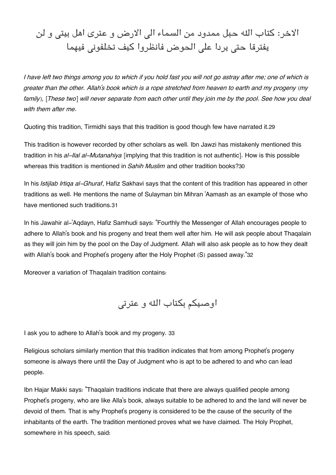# الاخر: کتاب الله حبل ممدود من السماء الی الارض و عتری اهل بیتی و لن یفترقا حتی یردا علی الحوض فانظروا کیف تخلفونی فیهما

*I have left two things among you to which if you hold fast you will not go astray after me; one of which is greater than the other. Allah's book which is a rope stretched from heaven to earth and my progeny (my family), [These two] will never separate from each other until they join me by the pool*. *See how you deal with them after me*.

Quoting this tradition, Tirmidhi says that this tradition is good though few have narrated it.[29](#page--1-0)

This tradition is however recorded by other scholars as well. Ibn Jawzi has mistakenly mentioned this tradition in his *al-Ilal al-Mutanahiya* [implying that this tradition is not authentic]. How is this possible whereas this tradition is mentioned in *Sahih Muslim* and other tradition books?[30](#page--1-0)

In his *Istijlab Irtiqa al-Ghuraf*, Hafiz Sakhavi says that the content of this tradition has appeared in other traditions as well. He mentions the name of Sulayman bin Mihran 'Aamash as an example of those who have mentioned such traditions.[31](#page--1-0)

In his Jawahir al-'Aqdayn, Hafiz Samhudi says: "Fourthly the Messenger of Allah encourages people to adhere to Allah's book and his progeny and treat them well after him. He will ask people about Thaqalain as they will join him by the pool on the Day of Judgment. Allah will also ask people as to how they dealt with Allah's book and Prophet's progeny after the Holy Prophet (S) passed away."[32](#page--1-0)

Moreover a variation of Thaqalain tradition contains:

اوصیکم بکتاب الله و عترتی

I ask you to adhere to Allah's book and my progeny. [33](#page--1-0)

Religious scholars similarly mention that this tradition indicates that from among Prophet's progeny someone is always there until the Day of Judgment who is apt to be adhered to and who can lead people.

Ibn Hajar Makki says: "Thaqalain traditions indicate that there are always qualified people among Prophet's progeny, who are like Alla's book, always suitable to be adhered to and the land will never be devoid of them. That is why Prophet's progeny is considered to be the cause of the security of the inhabitants of the earth. The tradition mentioned proves what we have claimed. The Holy Prophet, somewhere in his speech, said: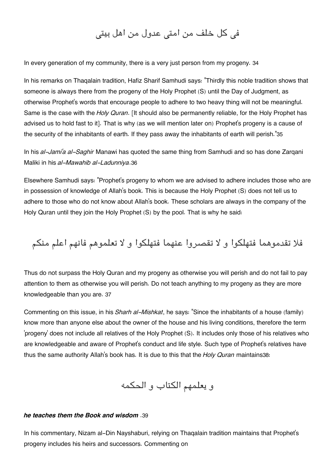# فی کل خلف من امتی عدول من اهل بیتی

In every generation of my community, there is a very just person from my progeny. [34](#page--1-0)

In his remarks on Thaqalain tradition, Hafiz Sharif Samhudi says: "Thirdly this noble tradition shows that someone is always there from the progeny of the Holy Prophet (S) until the Day of Judgment, as otherwise Prophet's words that encourage people to adhere to two heavy thing will not be meaningful. Same is the case with the *Holy Quran*. [It should also be permanently reliable, for the Holy Prophet has advised us to hold fast to it]. That is why (as we will mention later on) Prophet's progeny is a cause of the security of the inhabitants of earth. If they pass away the inhabitants of earth will perish."[35](#page--1-0)

In his *al-Jami'a al-Saghir* Manawi has quoted the same thing from Samhudi and so has done Zarqani Maliki in his *al-Mawahib al-Ladunniya*.[36](#page--1-0)

Elsewhere Samhudi says: "Prophet's progeny to whom we are advised to adhere includes those who are in possession of knowledge of Allah's book. This is because the Holy Prophet (S) does not tell us to adhere to those who do not know about Allah's book. These scholars are always in the company of the Holy Quran until they join the Holy Prophet (S) by the pool. That is why he said:

فلا تقدموهما فتهلكوا و لا تقصروا عنهما فتهلكوا و لا تعلموهم فانهم اعلم منكم

Thus do not surpass the Holy Quran and my progeny as otherwise you will perish and do not fail to pay attention to them as otherwise you will perish. Do not teach anything to my progeny as they are more knowledgeable than you are. [37](#page--1-0)

Commenting on this issue, in his *Sharh al-Mishkat*, he says: "Since the inhabitants of a house (family) know more than anyone else about the owner of the house and his living conditions, therefore the term 'progeny' does not include all relatives of the Holy Prophet (S). It includes only those of his relatives who are knowledgeable and aware of Prophet's conduct and life style. Such type of Prophet's relatives have thus the same authority Allah's book has. It is due to this that the *Holy Quran* maintains[38](#page--1-0):

و یعلمهم التاب و الحمه

#### *he teaches them the Book and wisdom* .[39](#page--1-0)

In his commentary, Nizam al-Din Nayshaburi, relying on Thaqalain tradition maintains that Prophet's progeny includes his heirs and successors. Commenting on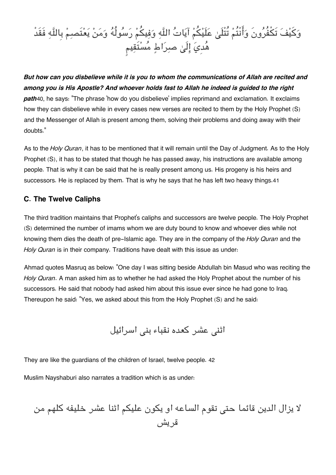# وَكَيْفَ تَكْفُرُونَ وَأَنْتُمْ تُتْلَىٰ عَلَيْكُمْ آيَاتُ اللَّهِ وَفِيكُمْ رَسُولُهُ وَمَنْ يَعْتَصِمْ بِاللَّهِ فَقَدْ هُديَ إِلَىٰ صراطٍ مُسْتَقِيمٍ

*But how can you disbelieve while it is you to whom the communications of Allah are recited and among you is His Apostle? And whoever holds fast to Allah he indeed is guided to the right path*[40](#page--1-0), he says: "The phrase 'how do you disbelieve' implies reprimand and exclamation. It exclaims how they can disbelieve while in every cases new verses are recited to them by the Holy Prophet (S) and the Messenger of Allah is present among them, solving their problems and doing away with their doubts."

As to the *Holy Quran*, it has to be mentioned that it will remain until the Day of Judgment. As to the Holy Prophet (S), it has to be stated that though he has passed away, his instructions are available among people. That is why it can be said that he is really present among us. His progeny is his heirs and successors. He is replaced by them. That is why he says that he has left two heavy things.[41](#page--1-0)

### **[C. The Twelve Caliphs](#page--1-0)**

The third tradition maintains that Prophet's caliphs and successors are twelve people. The Holy Prophet (S) determined the number of imams whom we are duty bound to know and whoever dies while not knowing them dies the death of pre-Islamic age. They are in the company of the *Holy Quran* and the *Holy Quran* is in their company. Traditions have dealt with this issue as under:

Ahmad quotes Masruq as below: "One day I was sitting beside Abdullah bin Masud who was reciting the *Holy Quran*. A man asked him as to whether he had asked the Holy Prophet about the number of his successors. He said that nobody had asked him about this issue ever since he had gone to Iraq. Thereupon he said: "Yes, we asked about this from the Holy Prophet (S) and he said:

اثنی عشر کعده نقباء بنی اسرائیل

They are like the guardians of the children of Israel, twelve people. [42](#page--1-0)

Muslim Nayshaburi also narrates a tradition which is as under:

لا یزال الدین قائما حتی تقوم الساعه او یکون علیکم اثنا عشر خلیفه کلهم من قریش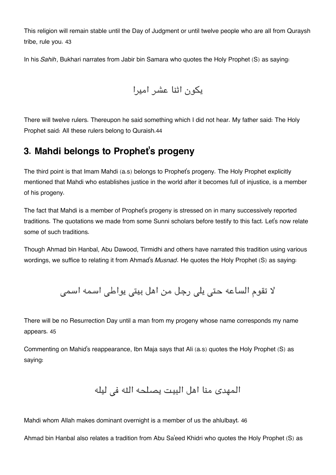This religion will remain stable until the Day of Judgment or until twelve people who are all from Quraysh tribe, rule you. [43](#page--1-0)

In his *Sahih*, Bukhari narrates from Jabir bin Samara who quotes the Holy Prophet (S) as saying:

یون اثنا عشر امیرا

There will twelve rulers. Thereupon he said something which I did not hear. My father said: The Holy Prophet said: All these rulers belong to Quraish.[44](#page--1-0)

# **[3. Mahdi belongs to Prophet](#page--1-0)'s progeny**

The third point is that Imam Mahdi (a.s) belongs to Prophet's progeny. The Holy Prophet explicitly mentioned that Mahdi who establishes justice in the world after it becomes full of injustice, is a member of his progeny.

The fact that Mahdi is a member of Prophet's progeny is stressed on in many successively reported traditions. The quotations we made from some Sunni scholars before testify to this fact. Let's now relate some of such traditions.

Though Ahmad bin Hanbal, Abu Dawood, Tirmidhi and others have narrated this tradition using various wordings, we suffice to relating it from Ahmad's *Musnad*. He quotes the Holy Prophet (S) as saying:

لا تقوم الساعه حتی یلی رجل من اهل بیتی یواطی اسمه اسمی

There will be no Resurrection Day until a man from my progeny whose name corresponds my name appears. [45](#page--1-0)

Commenting on Mahid's reappearance, Ibn Maja says that Ali (a.s) quotes the Holy Prophet (S) as saying:

المهدی منا اهل البیت یصلحه الله فی لیله

Mahdi whom Allah makes dominant overnight is a member of us the ahlulbayt. [46](#page--1-0)

Ahmad bin Hanbal also relates a tradition from Abu Sa'eed Khidri who quotes the Holy Prophet (S) as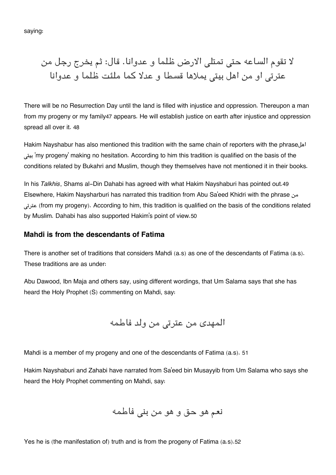لا تقوم الساعه حتى تمتلى الارض ظلما و عدوانا. قال: ثم یخرج رجل من عترتی او من اهل بیتی یملاها قسطا و عدلا کما ملئت ظلما و عدوانا

There will be no Resurrection Day until the land is filled with injustice and oppression. Thereupon a man from my progeny or my family[47](#page--1-0) appears. He will establish justice on earth after injustice and oppression spread all over it. [48](#page--1-0)

Hakim Nayshabur has also mentioned this tradition with the same chain of reporters with the phraseاهل بیت' my progeny' making no hesitation. According to him this tradition is qualified on the basis of the conditions related by Bukahri and Muslim, though they themselves have not mentioned it in their books.

In his *Talkhis*, Shams al-Din Dahabi has agreed with what Hakim Nayshaburi has pointed out.[49](#page--1-0) Elsewhere, Hakim Naysharburi has narrated this tradition from Abu Sa'eed Khidri with the phrase من عترتى (from my progeny). According to him, this tradition is qualified on the basis of the conditions related by Muslim. Dahabi has also supported Hakim's point of view.[50](#page--1-0)

#### **[Mahdi is from the descendants of Fatima](#page--1-0)**

There is another set of traditions that considers Mahdi (a.s) as one of the descendants of Fatima (a.s). These traditions are as under:

Abu Dawood, Ibn Maja and others say, using different wordings, that Um Salama says that she has heard the Holy Prophet (S) commenting on Mahdi, say:

المهدی من عترتی من ولد فاطمه

Mahdi is a member of my progeny and one of the descendants of Fatima (a.s). [51](#page--1-0)

Hakim Nayshaburi and Zahabi have narrated from Sa'eed bin Musayyib from Um Salama who says she heard the Holy Prophet commenting on Mahdi, say:

نعم هو حق و هو من بني فاطمه

Yes he is (the manifestation of) truth and is from the progeny of Fatima (a.s).[52](#page--1-0)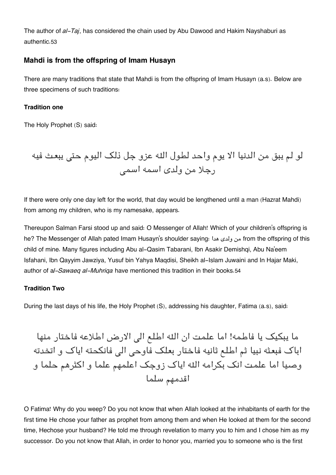The author of *al-Taj*, has considered the chain used by Abu Dawood and Hakim Nayshaburi as authentic.[53](#page--1-0)

#### **[Mahdi is from the offspring of Imam Husayn](#page--1-0)**

There are many traditions that state that Mahdi is from the offspring of Imam Husayn (a.s). Below are three specimens of such traditions:

#### **[Tradition one](#page--1-0)**

The Holy Prophet (S) said:

لو لم یبق من الدنیا الا یوم واحد لطول الله عزو جل ذلک الیوم حتی یبعث فیه رجلا من ولدی اسمه اسم

If there were only one day left for the world, that day would be lengthened until a man (Hazrat Mahdi) from among my children, who is my namesake, appears.

Thereupon Salman Farsi stood up and said: O Messenger of Allah! Which of your children's offspring is he? The Messenger of Allah pated Imam Husayn's shoulder saying: هدا ولدی من from the offspring of this child of mine. Many figures including Abu al-Qasim Tabarani, Ibn Asakir Demishqi, Abu Na'eem Isfahani, Ibn Qayyim Jawziya, Yusuf bin Yahya Maqdisi, Sheikh al-Islam Juwaini and In Hajar Maki, author of a*l-Sawaeq al-Muhriqa* have mentioned this tradition in their books.[54](#page--1-0)

#### **[Tradition Two](#page--1-0)**

During the last days of his life, the Holy Prophet (S), addressing his daughter, Fatima (a.s), said:

ما یبکیک یا فاطمه! اما علمت ان الله اطلع الی الارض اطلاعه فاختار منها اباک فبعثه نبیا ثم اطلع ثانیه فاختار بعلک فاوحی الی فانکحته ایاک و اتخدته وصیا اما علمت انک بکرامه الله ایاک زوجک اعلمهم علما و اکثرهم حلما و اقدمهم سلما

O Fatima! Why do you weep? Do you not know that when Allah looked at the inhabitants of earth for the first time He chose your father as prophet from among them and when He looked at them for the second time, Hechose your husband? He told me through revelation to marry you to him and I chose him as my successor. Do you not know that Allah, in order to honor you, married you to someone who is the first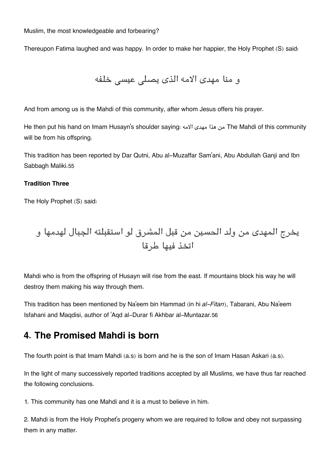Muslim, the most knowledgeable and forbearing?

Thereupon Fatima laughed and was happy. In order to make her happier, the Holy Prophet (S) said:

و منا مهدی الامه الذی یصلی عیسی خلفه

And from among us is the Mahdi of this community, after whom Jesus offers his prayer.

He then put his hand on Imam Husayn's shoulder saying: الامه مهدی هذا من The Mahdi of this community will be from his offspring.

This tradition has been reported by Dar Qutni, Abu al-Muzaffar Sam'ani, Abu Abdullah Ganji and Ibn Sabbagh Maliki.[55](#page--1-0)

#### **[Tradition Three](#page--1-0)**

The Holy Prophet (S) said:

یخرج المهدی من ولد الحسین من قبل المشرق لو استقبلته الجبال لهدمها و اتخذ فیها طرقا

Mahdi who is from the offspring of Husayn will rise from the east. If mountains block his way he will destroy them making his way through them.

This tradition has been mentioned by Na'eem bin Hammad (in hi *al-Fitan*), Tabarani, Abu Na'eem Isfahani and Maqdisi, author of 'Aqd al-Durar fi Akhbar al-Muntazar.[56](#page--1-0)

# **[4. The Promised Mahdi is born](#page--1-0)**

The fourth point is that Imam Mahdi (a.s) is born and he is the son of Imam Hasan Askari (a.s).

In the light of many successively reported traditions accepted by all Muslims, we have thus far reached the following conclusions.

1. This community has one Mahdi and it is a must to believe in him.

2. Mahdi is from the Holy Prophet's progeny whom we are required to follow and obey not surpassing them in any matter.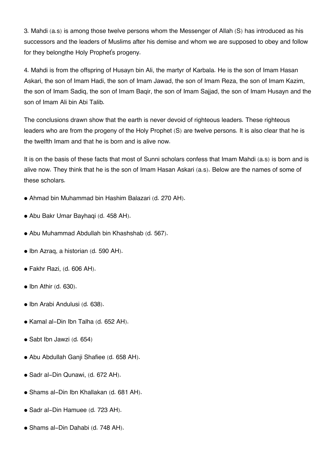3. Mahdi (a.s) is among those twelve persons whom the Messenger of Allah (S) has introduced as his successors and the leaders of Muslims after his demise and whom we are supposed to obey and follow for they belongthe Holy Prophet's progeny.

4. Mahdi is from the offspring of Husayn bin Ali, the martyr of Karbala. He is the son of Imam Hasan Askari, the son of Imam Hadi, the son of Imam Jawad, the son of Imam Reza, the son of Imam Kazim, the son of Imam Sadiq, the son of Imam Baqir, the son of Imam Sajjad, the son of Imam Husayn and the son of Imam Ali bin Abi Talib.

The conclusions drawn show that the earth is never devoid of righteous leaders. These righteous leaders who are from the progeny of the Holy Prophet (S) are twelve persons. It is also clear that he is the twelfth Imam and that he is born and is alive now.

It is on the basis of these facts that most of Sunni scholars confess that Imam Mahdi (a.s) is born and is alive now. They think that he is the son of Imam Hasan Askari (a.s). Below are the names of some of these scholars.

- Ahmad bin Muhammad bin Hashim Balazari (d. 270 AH).
- Abu Bakr Umar Bayhaqi (d. 458 AH).
- Abu Muhammad Abdullah bin Khashshab (d. 567).
- Ibn Azraq, a historian (d. 590 AH).
- Fakhr Razi, (d. 606 AH).
- $\bullet$  Ibn Athir (d. 630).
- Ibn Arabi Andulusi (d. 638).
- Kamal al-Din Ibn Talha (d. 652 AH).
- Sabt Ibn Jawzi (d. 654)
- Abu Abdullah Ganji Shafiee (d. 658 AH).
- Sadr al-Din Qunawi, (d. 672 AH).
- Shams al-Din Ibn Khallakan (d. 681 AH).
- Sadr al-Din Hamuee (d. 723 AH).
- Shams al-Din Dahabi (d. 748 AH).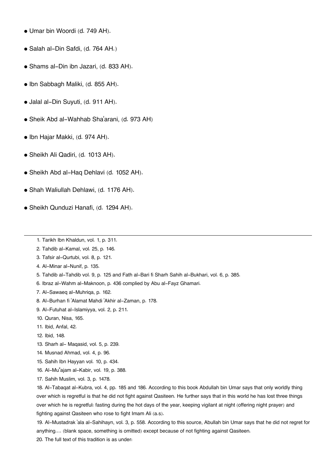- Umar bin Woordi (d. 749 AH).
- Salah al-Din Safdi, (d. 764 AH.)
- Shams al-Din ibn Jazari, (d. 833 AH).
- Ibn Sabbagh Maliki, (d. 855 AH).
- Jalal al-Din Suyuti, (d. 911 AH).
- Sheik Abd al-Wahhab Sha'arani, (d. 973 AH)
- Ibn Hajar Makki, (d. 974 AH).
- Sheikh Ali Qadiri, (d. 1013 AH).
- Sheikh Abd al-Haq Dehlavi (d. 1052 AH).
- Shah Waliullah Dehlawi, (d. 1176 AH).
- Sheikh Qunduzi Hanafi, (d. 1294 AH).
	- [1.](#page--1-0) Tarikh Ibn Khaldun, vol. 1, p. 311.
	- [2.](#page--1-0) Tahdib al-Kamal, vol. 25, p. 146.
	- [3.](#page--1-0) Tafsir al-Qurtubi, vol. 8, p. 121.
	- [4.](#page--1-0) Al-Minar al-Nunif, p. 135.
	- [5.](#page--1-0) Tahdib al-Tahdib vol. 9, p. 125 and Fath al-Bari fi Sharh Sahih al-Bukhari, vol. 6, p. 385.
	- [6.](#page--1-0) Ibraz al-Wahm al-Maknoon, p. 436 complied by Abu al-Fayz Ghamari.
	- [7.](#page--1-0) Al-Sawaeq al-Muhriqa, p. 162.
	- [8.](#page--1-0) Al-Burhan fi 'Alamat Mahdi 'Akhir al-Zaman, p. 178.
	- [9.](#page--1-0) Al-Futuhat al-Islamiyya, vol. 2, p. 211.
	- [10.](#page--1-0) Quran, Nisa, 165.
	- [11.](#page--1-0) Ibid, Anfal, 42.
	- [12.](#page--1-0) Ibid, 148.
	- [13.](#page--1-0) Sharh al- Maqasid, vol. 5, p. 239.
	- [14.](#page--1-0) Musnad Ahmad, vol. 4, p. 96.
	- [15.](#page--1-0) Sahih Ibn Hayyan vol. 10, p. 434.
	- [16.](#page--1-0) Al-Mu''ajam al-Kabir, vol. 19, p. 388.
	- [17.](#page--1-0) Sahih Muslim, vol. 3, p. 1478.

[18.](#page--1-0) Al-Tabaqat al-Kubra, vol. 4, pp. 185 and 186. According to this book Abdullah bin Umar says that only worldly thing over which is regretful is that he did not fight against Qasiteen. He further says that in this world he has lost three things over which he is regretful: fasting during the hot days of the year, keeping vigilant at night (offering night prayer) and fighting against Qasiteen who rose to fight Imam Ali (a.s).

[19.](#page--1-0) Al-Mustadrak 'ala al-Sahihayn, vol. 3, p. 558. According to this source, Abullah bin Umar says that he did not regret for anything…. (blank space, something is omitted) except because of not fighting against Qasiteen.

[20.](#page--1-0) The full text of this tradition is as under: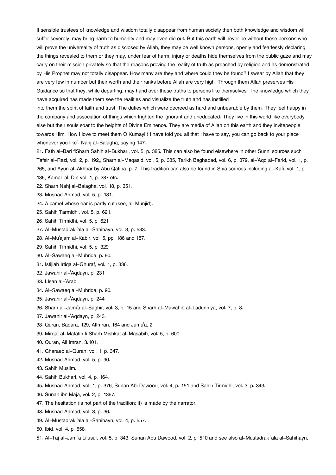If sensible trustees of knowledge and wisdom totally disappear from human society then both knowledge and wisdom will suffer severely, may bring harm to humanity and may even die out. But this earth will never be without those persons who will prove the universality of truth as disclosed by Allah, they may be well known persons, openly and fearlessly declaring the things revealed to them or they may, under fear of harm, injury or deaths hide themselves from the public gaze and may carry on their mission privately so that the reasons proving the reality of truth as preached by religion and as demonstrated by His Prophet may not totally disappear. How many are they and where could they be found? I swear by Allah that they are very few in number but their worth and their ranks before Allah are very high. Through them Allah preserves His Guidance so that they, while departing, may hand over these truths to persons like themselves. The knowledge which they have acquired has made them see the realities and visualize the truth and has instilled

into them the spirit of faith and trust. The duties which were decreed as hard and unbearable by them. They feel happy in the company and association of things which frighten the ignorant and uneducated. They live in this world like everybody else but their souls soar to the heights of Divine Eminence. They are media of Allah on this earth and they invitepeople towards Him. How I love to meet them O Kumayl ! I have told you all that I have to say, you can go back to your place whenever you like". Nahj al-Balagha, saying 147.

[21.](#page--1-0) Fath al-Bari fiSharh Sahih al-Bukhari, vol. 5, p. 385. This can also be found elsewhere in other Sunni sources such Tafsir al-Razi, vol. 2, p. 192,, Sharh al-Maqasid, vol. 5, p. 385, Tarikh Baghadad, vol. 6, p. 379, al-'Aqd al-Farid, vol. 1, p. 265, and Ayun al-Akhbar by Abu Qatiba, p. 7. This tradition can also be found in Shia sources including al-Kafi, vol. 1, p. 136, Kamal-al-Din vol. 1, p. 287 etc.

- [22.](#page--1-0) Sharh Nahj al-Balagha, vol. 18, p. 351.
- [23.](#page--1-0) Musnad Ahmad, vol. 5, p. 181.
- [24.](#page--1-0) A camel whose ear is partly cut (see, al-Munjid).
- [25.](#page--1-0) Sahih Tarmidhi, vol. 5, p. 621.
- [26.](#page--1-0) Sahih Tirmidhi, vol. 5, p. 621.
- [27.](#page--1-0) Al-Mustadrak 'ala al-Sahihayn, vol. 3, p. 533.
- [28.](#page--1-0) Al-Mu'ajam al-Kabir, vol. 5, pp. 186 and 187.
- [29.](#page--1-0) Sahih Tirmidhi, vol. 5, p. 329.
- [30.](#page--1-0) Al-Sawaeq al-Muhriqa, p. 90.
- [31.](#page--1-0) Istijlab Irtiqa al-Ghuraf, vol. 1, p. 336.
- [32.](#page--1-0) Jawahir al-'Aqdayn, p. 231.
- [33.](#page--1-0) LIsan al-'Arab.
- [34.](#page--1-0) Al-Sawaeq al-Muhriqa, p. 90.
- [35.](#page--1-0) Jawahir al-'Aqdayn, p. 244.
- [36.](#page--1-0) Sharh al-Jami'a al-Saghir, vol. 3, p. 15 and Sharh al-Mawahib al-Ladunniya, vol. 7, p. 8.
- [37.](#page--1-0) Jawahir al-'Aqdayn, p. 243.
- [38.](#page--1-0) Quran, Baqara, 129, AlImran, 164 and Jumu'a, 2.
- [39.](#page--1-0) Mirqat al-Mafatih fi Sharh Mishkat al-Masabih, vol. 5, p. 600.
- [40.](#page--1-0) Quran, Ali Imran, 3:101.
- [41.](#page--1-0) Gharaeb al-Quran, vol. 1, p. 347.
- [42.](#page--1-0) Musnad Ahmad, vol. 5, p. 90.
- [43.](#page--1-0) Sahih Muslim.
- [44.](#page--1-0) Sahih Bukhari, vol. 4, p. 164.
- [45.](#page--1-0) Musnad Ahmad, vol. 1, p. 376, Sunan Abi Dawood, vol. 4, p. 151 and Sahih Tirmidhi, vol. 3, p. 343.
- [46.](#page--1-0) Sunan ibn Maja, vol. 2, p. 1367.
- [47.](#page--1-0) The hesitation (is not part of the tradition; it) is made by the narrator.
- [48.](#page--1-0) Musnad Ahmad, vol. 3, p. 36.
- [49.](#page--1-0) Al-Mustadrak 'ala al-Sahihayn, vol. 4, p. 557.
- [50.](#page--1-0) Ibid. vol. 4, p. 558.
- [51.](#page--1-0) Al-Taj al-Jami'a Lilusul, vol. 5, p. 343. Sunan Abu Dawood, vol. 2, p. 510 and see also al-Mustadrak 'ala al-Sahihayn,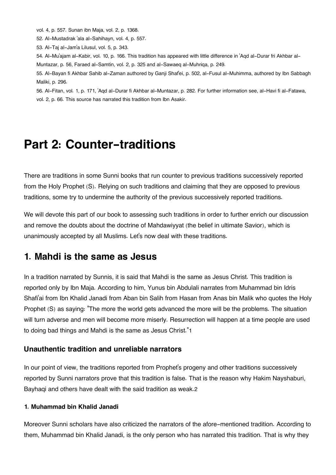vol. 4, p. 557. Sunan ibn Maja, vol. 2, p. 1368.

[52.](#page--1-0) Al-Mustadrak 'ala al-Sahihayn, vol. 4, p. 557.

[53.](#page--1-0) Al-Taj al-Jam'a Lilusul, vol. 5, p. 343.

[54.](#page--1-0) Al-Mu'ajam al-Kabir, vol. 10, p. 166. This tradition has appeared with little difference in 'Aqd al-Durar fri Akhbar al-Muntazar, p. 56, Faraed al-Samtin, vol. 2, p. 325 and al-Sawaeq al-Muhriqa, p. 249.

[55.](#page--1-0) Al-Bayan fi Akhbar Sahib al-Zaman authored by Ganji Shaf'ei, p. 502, al-Fusul al-Muhimma, authored by Ibn Sabbagh Maliki, p. 296.

[56.](#page--1-0) Al-Fitan, vol. 1, p. 171, 'Aqd al-Durar fi Akhbar al-Muntazar, p. 282. For further information see, al-Havi fi al-Fatawa, vol. 2, p. 66. This source has narrated this tradition from Ibn Asakir.

# **Part 2: Counter-traditions**

There are traditions in some Sunni books that run counter to previous traditions successively reported from the Holy Prophet (S). Relying on such traditions and claiming that they are opposed to previous traditions, some try to undermine the authority of the previous successively reported traditions.

We will devote this part of our book to assessing such traditions in order to further enrich our discussion and remove the doubts about the doctrine of Mahdawiyyat (the belief in ultimate Savior), which is unanimously accepted by all Muslims. Let's now deal with these traditions.

# **[1. Mahdi is the same as Jesus](#page--1-0)**

In a tradition narrated by Sunnis, it is said that Mahdi is the same as Jesus Christ. This tradition is reported only by Ibn Maja. According to him, Yunus bin Abdulali narrates from Muhammad bin Idris Shafi'ai from Ibn Khalid Janadi from Aban bin Salih from Hasan from Anas bin Malik who quotes the Holy Prophet (S) as saying: "The more the world gets advanced the more will be the problems. The situation will turn adverse and men will become more miserly. Resurrection will happen at a time people are used to doing bad things and Mahdi is the same as Jesus Christ."[1](#page--1-0)

#### **[Unauthentic tradition and unreliable narrators](#page--1-0)**

In our point of view, the traditions reported from Prophet's progeny and other traditions successively reported by Sunni narrators prove that this tradition is false. That is the reason why Hakim Nayshaburi, Bayhaqi and others have dealt with the said tradition as weak.[2](#page--1-0)

#### **[1. Muhammad bin Khalid Janadi](#page--1-0)**

Moreover Sunni scholars have also criticized the narrators of the afore-mentioned tradition. According to them, Muhammad bin Khalid Janadi, is the only person who has narrated this tradition. That is why they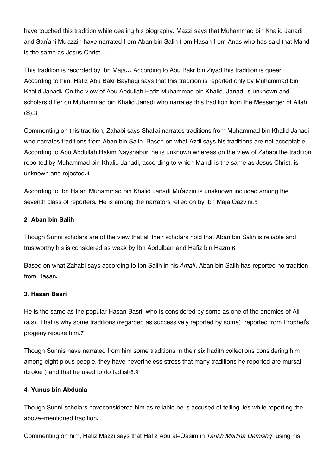have touched this tradition while dealing his biography. Mazzi says that Muhammad bin Khalid Janadi and San'ani Mu'azzin have narrated from Aban bin Salih from Hasan from Anas who has said that Mahdi is the same as Jesus Christ…

This tradition is recorded by Ibn Maja… According to Abu Bakr bin Ziyad this tradition is queer. According to him, Hafiz Abu Bakr Bayhaqi says that this tradition is reported only by Muhammad bin Khalid Janadi. On the view of Abu Abdullah Hafiz Muhammad bin Khalid, Janadi is unknown and scholars differ on Muhammad bin Khalid Janadi who narrates this tradition from the Messenger of Allah  $(S).3$  $(S).3$ 

Commenting on this tradition, Zahabi says Shaf'ai narrates traditions from Muhammad bin Khalid Janadi who narrates traditions from Aban bin Salih. Based on what Azdi says his traditions are not acceptable. According to Abu Abdullah Hakim Nayshaburi he is unknown whereas on the view of Zahabi the tradition reported by Muhammad bin Khalid Janadi, according to which Mahdi is the same as Jesus Christ, is unknown and rejected.[4](#page--1-0)

According to Ibn Hajar, Muhammad bin Khalid Janadi Mu'azzin is unaknown included among the seventh class of reporters. He is among the narrators relied on by Ibn Maja Qazvini.[5](#page--1-0)

#### **[2. Aban bin Salih](#page--1-0)**

Though Sunni scholars are of the view that all their scholars hold that Aban bin Salih is reliable and trustworthy his is considered as weak by Ibn Abdulbarr and Hafiz bin Hazm.[6](#page--1-0)

Based on what Zahabi says according to Ibn Salih in his *Amali*, Aban bin Salih has reported no tradition from Hasan.

#### **[3. Hasan Basri](#page--1-0)**

He is the same as the popular Hasan Basri, who is considered by some as one of the enemies of Ali (a.s). That is why some traditions (regarded as successively reported by some), reported from Prophet's progeny rebuke him.[7](#page--1-0)

Though Sunnis have narrated from him some traditions in their six hadith collections considering him among eight pious people, they have nevertheless stress that many traditions he reported are mursal (broken) and that he used to do tadlish[8](#page--1-0).[9](#page--1-0)

#### **[4. Yunus bin Abduala](#page--1-0)**

Though Sunni scholars haveconsidered him as reliable he is accused of telling lies while reporting the above-mentioned tradition.

Commenting on him, Hafiz Mazzi says that Hafiz Abu al-Qasim in *Tarikh Madina Demishq*, using his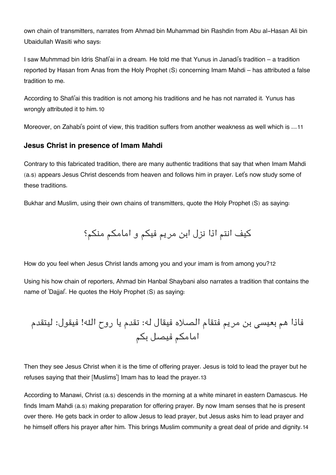own chain of transmitters, narrates from Ahmad bin Muhammad bin Rashdin from Abu al-Hasan Ali bin Ubaidullah Wasiti who says:

I saw Muhmmad bin Idris Shafi'ai in a dream. He told me that Yunus in Janadi's tradition – a tradition reported by Hasan from Anas from the Holy Prophet (S) concerning Imam Mahdi – has attributed a false tradition to me.

According to Shafi'ai this tradition is not among his traditions and he has not narrated it. Yunus has wrongly attributed it to him.[10](#page--1-0)

Moreover, on Zahabi's point of view, this tradition suffers from another weakness as well which is …[11](#page--1-0)

#### **[Jesus Christ in presence of Imam Mahdi](#page--1-0)**

Contrary to this fabricated tradition, there are many authentic traditions that say that when Imam Mahdi (a.s) appears Jesus Christ descends from heaven and follows him in prayer. Let's now study some of these traditions.

Bukhar and Muslim, using their own chains of transmitters, quote the Holy Prophet (S) as saying:

کیف انتم اذا نزل ابن مریم فیکم و امامکم منکم؟

How do you feel when Jesus Christ lands among you and your imam is from among you?[12](#page--1-0)

Using his how chain of reporters, Ahmad bin Hanbal Shaybani also narrates a tradition that contains the name of 'Dajjal'. He quotes the Holy Prophet (S) as saying:

فاذا هم بعیس بن مریم فتقام الصلاه فیقال له: تقدم یا روح اله! فیقول: لیتقدم امامم فیصل بم

Then they see Jesus Christ when it is the time of offering prayer. Jesus is told to lead the prayer but he refuses saying that their [Muslims'] Imam has to lead the prayer.[13](#page--1-0)

According to Manawi, Christ (a.s) descends in the morning at a white minaret in eastern Damascus. He finds Imam Mahdi (a.s) making preparation for offering prayer. By now Imam senses that he is present over there. He gets back in order to allow Jesus to lead prayer, but Jesus asks him to lead prayer and he himself offers his prayer after him. This brings Muslim community a great deal of pride and dignity.[14](#page--1-0)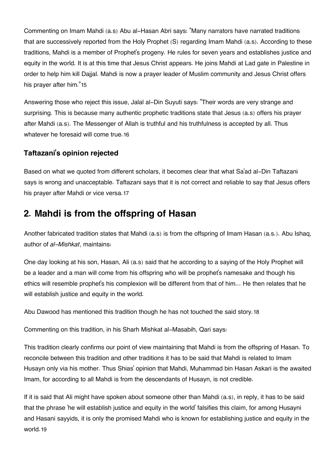Commenting on Imam Mahdi (a.s) Abu al-Hasan Abri says: "Many narrators have narrated traditions that are successively reported from the Holy Prophet (S) regarding Imam Mahdi (a.s). According to these traditions, Mahdi is a member of Prophet's progeny. He rules for seven years and establishes justice and equity in the world. It is at this time that Jesus Christ appears. He joins Mahdi at Lad gate in Palestine in order to help him kill Dajjal. Mahdi is now a prayer leader of Muslim community and Jesus Christ offers his prayer after him."[15](#page--1-0)

Answering those who reject this issue, Jalal al-Din Suyuti says: "Their words are very strange and surprising. This is because many authentic prophetic traditions state that Jesus (a.s) offers his prayer after Mahdi (a.s). The Messenger of Allah is truthful and his truthfulness is accepted by all. Thus whatever he foresaid will come true.[16](#page--1-0)

## **Taftazani['s opinion rejected](#page--1-0)**

Based on what we quoted from different scholars, it becomes clear that what Sa'ad al-Din Taftazani says is wrong and unacceptable. Taftazani says that it is not correct and reliable to say that Jesus offers his prayer after Mahdi or vice versa.[17](#page--1-0)

# **[2. Mahdi is from the offspring of Hasan](#page--1-0)**

Another fabricated tradition states that Mahdi (a.s) is from the offspring of Imam Hasan (a.s.). Abu Ishaq, author of *al-Mishkat*, maintains:

One day looking at his son, Hasan, Ali (a.s) said that he according to a saying of the Holy Prophet will be a leader and a man will come from his offspring who will be prophet's namesake and though his ethics will resemble prophet's his complexion will be different from that of him… He then relates that he will establish justice and equity in the world.

Abu Dawood has mentioned this tradition though he has not touched the said story.[18](#page--1-0)

Commenting on this tradition, in his Sharh Mishkat al-Masabih, Qari says:

This tradition clearly confirms our point of view maintaining that Mahdi is from the offspring of Hasan. To reconcile between this tradition and other traditions it has to be said that Mahdi is related to Imam Husayn only via his mother. Thus Shias' opinion that Mahdi, Muhammad bin Hasan Askari is the awaited Imam, for according to all Mahdi is from the descendants of Husayn, is not credible.

If it is said that Ali might have spoken about someone other than Mahdi (a.s), in reply, it has to be said that the phrase 'he will establish justice and equity in the world' falsifies this claim, for among Husayni and Hasani sayyids, it is only the promised Mahdi who is known for establishing justice and equity in the world.[19](#page--1-0)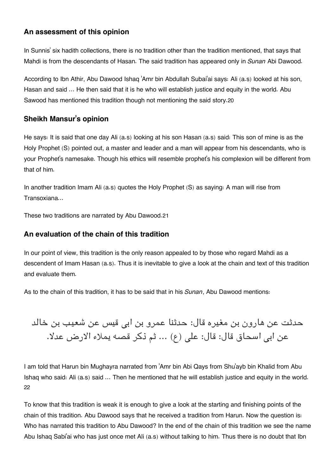#### **[An assessment of this opinion](#page--1-0)**

In Sunnis' six hadith collections, there is no tradition other than the tradition mentioned, that says that Mahdi is from the descendants of Hasan. The said tradition has appeared only in *Sunan* Abi Dawood.

According to Ibn Athir, Abu Dawood Ishaq 'Amr bin Abdullah Subai'ai says: Ali (a.s) looked at his son, Hasan and said … He then said that it is he who will establish justice and equity in the world. Abu Sawood has mentioned this tradition though not mentioning the said story.[20](#page--1-0)

## **[Sheikh Mansur](#page--1-0)'s opinion**

He says: It is said that one day Ali (a.s) looking at his son Hasan (a.s) said: This son of mine is as the Holy Prophet (S) pointed out, a master and leader and a man will appear from his descendants, who is your Prophet's namesake. Though his ethics will resemble prophet's his complexion will be different from that of him.

In another tradition Imam Ali (a.s) quotes the Holy Prophet (S) as saying: A man will rise from Transoxiana…

These two traditions are narrated by Abu Dawood.[21](#page--1-0)

### **[An evaluation of the chain of this tradition](#page--1-0)**

In our point of view, this tradition is the only reason appealed to by those who regard Mahdi as a descendent of Imam Hasan (a.s). Thus it is inevitable to give a look at the chain and text of this tradition and evaluate them.

As to the chain of this tradition, it has to be said that in his *Sunan*, Abu Dawood mentions:

حدثت عن هارون بن مغیره قال: حدثنا عمرو بن ابی قیس عن شعیب بن خالد عن ابی اسحاق قال: قال: علی (ع) … ثم ذکر قصه یملاء الارض عدلا.

I am told that Harun bin Mughayra narrated from 'Amr bin Abi Qays from Shu'ayb bin Khalid from Abu Ishaq who said: Ali (a.s) said … Then he mentioned that he will establish justice and equity in the world. [22](#page--1-0)

To know that this tradition is weak it is enough to give a look at the starting and finishing points of the chain of this tradition. Abu Dawood says that he received a tradition from Harun. Now the question is: Who has narrated this tradition to Abu Dawood? In the end of the chain of this tradition we see the name Abu Ishaq Sabi'ai who has just once met Ali (a.s) without talking to him. Thus there is no doubt that Ibn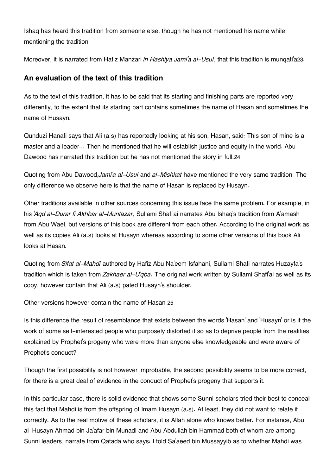Ishaq has heard this tradition from someone else, though he has not mentioned his name while mentioning the tradition.

Moreover, it is narrated from Hafiz Manzari *in Hashiya Jami'a al-Usul*, that this tradition is munqati'a[23](#page--1-0).

### **[An evaluation of the text of this tradition](#page--1-0)**

As to the text of this tradition, it has to be said that its starting and finishing parts are reported very differently, to the extent that its starting part contains sometimes the name of Hasan and sometimes the name of Husayn.

Qunduzi Hanafi says that Ali (a.s) has reportedly looking at his son, Hasan, said: This son of mine is a master and a leader… Then he mentioned that he will establish justice and equity in the world. Abu Dawood has narrated this tradition but he has not mentioned the story in full.[24](#page--1-0)

Quoting from Abu Dawood,*Jami'a al-Usul* and *al-Mishkat* have mentioned the very same tradition. The only difference we observe here is that the name of Hasan is replaced by Husayn.

Other traditions available in other sources concerning this issue face the same problem. For example, in his *'Aqd al-Durar fi Akhbar al-Muntazar*, Sullami Shafi'ai narrates Abu Ishaq's tradition from A'amash from Abu Wael, but versions of this book are different from each other. According to the original work as well as its copies Ali (a.s) looks at Husayn whereas according to some other versions of this book Ali looks at Hasan.

Quoting from *Sifat al-Mahdi* authored by Hafiz Abu Na'eem Isfahani, Sullami Shafi narrates Huzayfa's tradition which is taken from *Zakhaer al-U'qba*. The original work written by Sullami Shafi'ai as well as its copy, however contain that Ali (a.s) pated Husayn's shoulder.

Other versions however contain the name of Hasan.[25](#page--1-0)

Is this difference the result of resemblance that exists between the words 'Hasan' and 'Husayn' or is it the work of some self-interested people who purposely distorted it so as to deprive people from the realities explained by Prophet's progeny who were more than anyone else knowledgeable and were aware of Prophet's conduct?

Though the first possibility is not however improbable, the second possibility seems to be more correct, for there is a great deal of evidence in the conduct of Prophet's progeny that supports it.

In this particular case, there is solid evidence that shows some Sunni scholars tried their best to conceal this fact that Mahdi is from the offspring of Imam Husayn (a.s). At least, they did not want to relate it correctly. As to the real motive of these scholars, it is Allah alone who knows better. For instance, Abu al-Husayn Ahmad bin Ja'afar bin Munadi and Abu Abdullah bin Hammad both of whom are among Sunni leaders, narrate from Qatada who says: I told Sa'aeed bin Mussayyib as to whether Mahdi was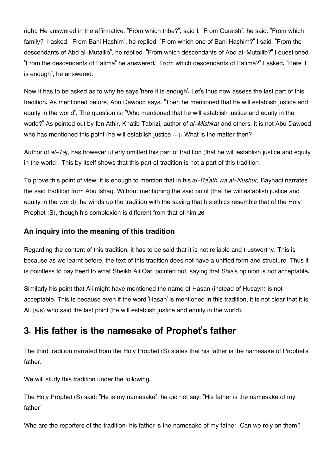right. He answered in the affirmative. "From which tribe?", said I. "From Quraish", he said. "From which family?" I asked. "From Bani Hashim", he replied. "From which one of Bani Hashim?" I said. "From the descendants of Abd al-Mutallib", he replied. "From which descendants of Abd al-Mutallib?" I questioned. "From the descendants of Fatima" he answered. "From which descendants of Fatima?" I asked. "Here it is enough", he answered.

Now it has to be asked as to why he says 'here it is enough'. Let's thus now assess the last part of this tradition. As mentioned before, Abu Dawood says: "Then he mentioned that he will establish justice and equity in the world". The question is: "Who mentioned that he will establish justice and equity in the world?" As pointed out by Ibn Athir, Khatib Tabrizi, author of *al-Mishkat* and others, it is not Abu Dawood who has mentioned this point (he will establish justice ...). What is the matter then?

Author of *al-Taj*, has however utterly omitted this part of tradition (that he will establish justice and equity in the world). This by itself shows that this part of tradition is not a part of this tradition.

To prove this point of view, it is enough to mention that in his *al-Ba'ath wa al-Nushur,* Bayhaqi narrates the said tradition from Abu Ishaq. Without mentioning the said point (that he will establish justice and equity in the world), he winds up the tradition with the saying that his ethics resemble that of the Holy Prophet (S), though his complexion is different from that of him.[26](#page--1-0)

### **[An inquiry into the meaning of this tradition](#page--1-0)**

Regarding the content of this tradition, it has to be said that it is not reliable and trustworthy. This is because as we learnt before, the text of this tradition does not have a unified form and structure. Thus it is pointless to pay heed to what Sheikh Ali Qari pointed out, saying that Shia's opinion is not acceptable.

Similarly his point that Ali might have mentioned the name of Hasan (instead of Husayn) is not acceptable. This is because even if the word 'Hasan' is mentioned in this tradition, it is not clear that it is Ali (a.s) who said the last point (he will establish justice and equity in the world).

# **[3. His father is the namesake of Prophet](#page--1-0)'s father**

The third tradition narrated from the Holy Prophet (S) states that his father is the namesake of Prophet's father.

We will study this tradition under the following:

The Holy Prophet (S) said: "He is my namesake"; he did not say: "His father is the namesake of my father".

Who are the reporters of the tradition: his father is the namesake of my father. Can we rely on them?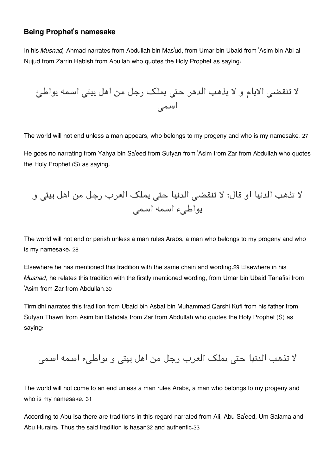## **[Being Prophet](#page--1-0)'s namesake**

In his *Musnad,* Ahmad narrates from Abdullah bin Mas'ud, from Umar bin Ubaid from 'Asim bin Abi al-Nujud from Zarrin Habish from Abullah who quotes the Holy Prophet as saying:

لا تنقض الایام و لا یذهب الدهر حت یمل رجل من اهل بیت اسمه یواط اسم

The world will not end unless a man appears, who belongs to my progeny and who is my namesake. [27](#page--1-0)

He goes no narrating from Yahya bin Sa'eed from Sufyan from 'Asim from Zar from Abdullah who quotes the Holy Prophet (S) as saying:

لا تذهب الدنیا او قال: لا تنقض الدنیا حت یمل العرب رجل من اهل بیت و یواطء اسمه اسم

The world will not end or perish unless a man rules Arabs, a man who belongs to my progeny and who is my namesake. [28](#page--1-0)

Elsewhere he has mentioned this tradition with the same chain and wording.[29](#page--1-0) Elsewhere in his *Musnad*, he relates this tradition with the firstly mentioned wording, from Umar bin Ubaid Tanafisi from 'Asim from Zar from Abdullah.[30](#page--1-0)

Tirmidhi narrates this tradition from Ubaid bin Asbat bin Muhammad Qarshi Kufi from his father from Sufyan Thawri from Asim bin Bahdala from Zar from Abdullah who quotes the Holy Prophet (S) as saying:

لا تذهب الدنیا حت یمل العرب رجل من اهل بیت و یواطء اسمه اسم

The world will not come to an end unless a man rules Arabs, a man who belongs to my progeny and who is my namesake. [31](#page--1-0)

According to Abu Isa there are traditions in this regard narrated from Ali, Abu Sa'eed, Um Salama and Abu Huraira. Thus the said tradition is hasan[32](#page--1-0) and authentic.[33](#page--1-0)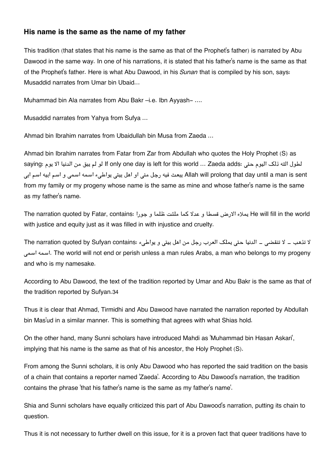### **[His name is the same as the name of my father](#page--1-0)**

This tradition (that states that his name is the same as that of the Prophet's father) is narrated by Abu Dawood in the same way. In one of his narrations, it is stated that his father's name is the same as that of the Prophet's father. Here is what Abu Dawood, in his *Sunan* that is compiled by his son, says: Musaddid narrates from Umar bin Ubaid…

Muhammad bin Ala narrates from Abu Bakr –i.e. Ibn Ayyash- ….

Musaddid narrates from Yahya from Sufya …

Ahmad bin Ibrahim narrates from Ubaidullah bin Musa from Zaeda …

Ahmad bin Ibrahim narrates from Fatar from Zar from Abdullah who quotes the Holy Prophet (S) as saying: یوم الا الدنیا من یبق لم لو If only one day is left for this world … Zaeda adds: حت الیوم ذل هال لطول Allah will prolong that day until a man is sent یبعث فیه رجل منی او اهل بیتی یواطیء اسمه اسمی و اسم ابیه اسم ابی from my family or my progeny whose name is the same as mine and whose father's name is the same as my father's name.

The narration quoted by Fatar, contains: جورا و ظلما ملئت کما عدلا و قسطا الارض یملاء He will fill in the world with justice and equity just as it was filled in with injustice and cruelty.

لا تذهب – لا تنقضی – الدنیا حتی یملک العرب رجل من اهل بیتی و یواطیء :The narration quoted by Sufyan contains اسمه اسمی. The world will not end or perish unless a man rules Arabs, a man who belongs to my progeny and who is my namesake.

According to Abu Dawood, the text of the tradition reported by Umar and Abu Bakr is the same as that of the tradition reported by Sufyan.[34](#page--1-0)

Thus it is clear that Ahmad, Tirmidhi and Abu Dawood have narrated the narration reported by Abdullah bin Mas'ud in a similar manner. This is something that agrees with what Shias hold.

On the other hand, many Sunni scholars have introduced Mahdi as 'Muhammad bin Hasan Askari', implying that his name is the same as that of his ancestor, the Holy Prophet (S).

From among the Sunni scholars, it is only Abu Dawood who has reported the said tradition on the basis of a chain that contains a reporter named 'Zaeda'. According to Abu Dawood's narration, the tradition contains the phrase 'that his father's name is the same as my father's name'.

Shia and Sunni scholars have equally criticized this part of Abu Dawood's narration, putting its chain to question.

Thus it is not necessary to further dwell on this issue, for it is a proven fact that queer traditions have to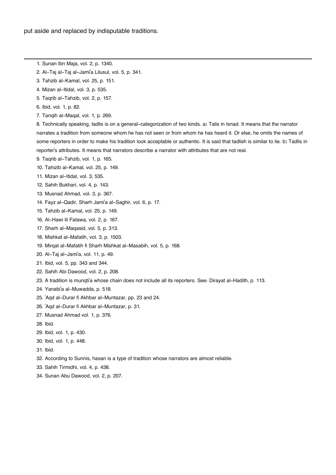put aside and replaced by indisputable traditions.

- [1.](#page--1-0) Sunan Ibn Maja, vol. 2, p. 1340.
- [2.](#page--1-0) Al-Taj al-Taj al-Jami'a Lilusul, vol. 5, p. 341.
- [3.](#page--1-0) Tahzib al-Kamal, vol. 25, p. 151.
- [4.](#page--1-0) Mizan al-Itidal, vol. 3, p. 535.
- [5.](#page--1-0) Taqrib al-Tahzib, vol. 2, p. 157.
- [6.](#page--1-0) Ibid, vol. 1, p. 82.
- [7.](#page--1-0) Tanqih al-Maqal, vol. 1, p. 269.

[8.](#page--1-0) Technically speaking, tadlis is on a general-categorization of two kinds. a) Talis in Isnad. It means that the narrator narrates a tradition from someone whom he has not seen or from whom he has heard it. Or else, he omits the names of some reporters in order to make his tradition look acceptable or authentic. It is said that tadlish is similar to lie. b) Tadlis in reporter's attributes. It means that narrators describe a narrator with attributes that are not real.

- [9.](#page--1-0) Taqrib al-Tahzib, vol. 1, p. 165.
- [10.](#page--1-0) Tahizib al-Kamal, vol. 25, p. 149.
- [11.](#page--1-0) Mizan al-Itidal, vol. 3, 535.
- [12.](#page--1-0) Sahih Bukhari, vol. 4, p. 143.
- [13.](#page--1-0) Musnad Ahmad, vol. 3, p. 367.
- [14.](#page--1-0) Fayz al-Qadir, Sharh Jami'a al-Saghir, vol. 6, p. 17.
- [15.](#page--1-0) Tahzib al-Kamal, vol. 25, p. 149.
- [16.](#page--1-0) Al-Hawi lil Fatawa, vol. 2, p. 167.
- [17.](#page--1-0) Sharh al-Maqasid, vol. 5, p. 313.
- [18.](#page--1-0) Mishkat al-Mafatih, vol. 3, p. 1503.
- [19.](#page--1-0) Mirqat al-Mafatih fi Sharh Mishkat al-Masabih, vol. 5, p. 168.
- [20.](#page--1-0) Al-Taj al-Jami'a, vol. 11, p. 49.
- [21.](#page--1-0) Ibid, vol. 5, pp. 343 and 344.
- [22.](#page--1-0) Sahih Abi Dawood, vol. 2, p. 208.
- [23.](#page--1-0) A tradition is munqti'a whose chain does not include all its reporters. See: Dirayat al-Hadith, p. 113.
- [24.](#page--1-0) Yanabi'a al-Muwadda, p. 518.
- [25.](#page--1-0) 'Aqd al-Durar fi Akhbar al-Muntazar, pp. 23 and 24.
- [26.](#page--1-0) 'Aqd al-Durar fi Akhbar al-Muntazar, p. 31.
- [27.](#page--1-0) Musnad Ahmad vol. 1, p. 376.
- [28.](#page--1-0) Ibid.
- [29.](#page--1-0) Ibid, vol. 1, p. 430.
- [30.](#page--1-0) Ibid, vol. 1, p. 448.
- [31.](#page--1-0) Ibid.
- [32.](#page--1-0) According to Sunnis, hasan is a type of tradition whose narrators are almost reliable.
- [33.](#page--1-0) Sahih Tirmidhi, vol. 4, p. 438.
- [34.](#page--1-0) Sunan Abu Dawood, vol. 2, p. 207.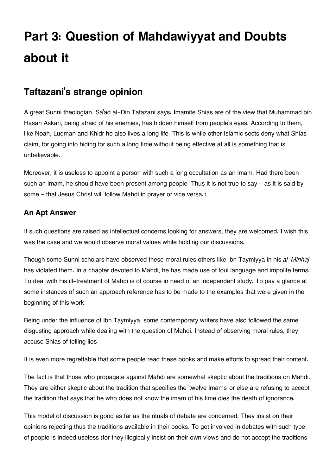# **Part 3: Question of Mahdawiyyat and Doubts about it**

# **Taftazani['s strange opinion](#page--1-0)**

A great Sunni theologian, Sa'ad al-Din Tatazani says: Imamite Shias are of the view that Muhammad bin Hasan Askari, being afraid of his enemies, has hidden himself from people's eyes. According to them, like Noah, Luqman and Khidr he also lives a long life. This is while other Islamic sects deny what Shias claim, for going into hiding for such a long time without being effective at all is something that is unbelievable.

Moreover, it is useless to appoint a person with such a long occultation as an imam. Had there been such an imam, he should have been present among people. Thus it is not true to say – as it is said by some – that Jesus Christ will follow Mahdi in prayer or vice versa.[1](#page--1-0)

## **[An Apt Answer](#page--1-0)**

If such questions are raised as intellectual concerns looking for answers, they are welcomed. I wish this was the case and we would observe moral values while holding our discussions.

Though some Sunni scholars have observed these moral rules others like Ibn Taymiyya in his *al-Minhaj* has violated them. In a chapter devoted to Mahdi, he has made use of foul language and impolite terms. To deal with his ill-treatment of Mahdi is of course in need of an independent study. To pay a glance at some instances of such an approach reference has to be made to the examples that were given in the beginning of this work.

Being under the influence of Ibn Taymiyya, some contemporary writers have also followed the same disgusting approach while dealing with the question of Mahdi. Instead of observing moral rules, they accuse Shias of telling lies.

It is even more regrettable that some people read these books and make efforts to spread their content.

The fact is that those who propagate against Mahdi are somewhat skeptic about the traditions on Mahdi. They are either skeptic about the tradition that specifies the 'twelve imams' or else are refusing to accept the tradition that says that he who does not know the imam of his time dies the death of ignorance.

This model of discussion is good as far as the rituals of debate are concerned. They insist on their opinions rejecting thus the traditions available in their books. To get involved in debates with such type of people is indeed useless (for they illogically insist on their own views and do not accept the traditions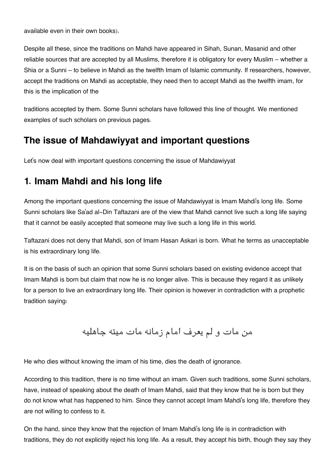available even in their own books).

Despite all these, since the traditions on Mahdi have appeared in Sihah, Sunan, Masanid and other reliable sources that are accepted by all Muslims, therefore it is obligatory for every Muslim – whether a Shia or a Sunni – to believe in Mahdi as the twelfth Imam of Islamic community. If researchers, however, accept the traditions on Mahdi as acceptable, they need then to accept Mahdi as the twelfth imam, for this is the implication of the

traditions accepted by them. Some Sunni scholars have followed this line of thought. We mentioned examples of such scholars on previous pages.

# **[The issue of Mahdawiyyat and important questions](#page--1-0)**

Let's now deal with important questions concerning the issue of Mahdawiyyat

# **[1. Imam Mahdi and his long life](#page--1-0)**

Among the important questions concerning the issue of Mahdawiyyat is Imam Mahdi's long life. Some Sunni scholars like Sa'ad al-Din Taftazani are of the view that Mahdi cannot live such a long life saying that it cannot be easily accepted that someone may live such a long life in this world.

Taftazani does not deny that Mahdi, son of Imam Hasan Askari is born. What he terms as unacceptable is his extraordinary long life.

It is on the basis of such an opinion that some Sunni scholars based on existing evidence accept that Imam Mahdi is born but claim that now he is no longer alive. This is because they regard it as unlikely for a person to live an extraordinary long life. Their opinion is however in contradiction with a prophetic tradition saying:

من مات و لم یعرف امام زمانه مات میته جاهلیه

He who dies without knowing the imam of his time, dies the death of ignorance.

According to this tradition, there is no time without an imam. Given such traditions, some Sunni scholars, have, instead of speaking about the death of Imam Mahdi, said that they know that he is born but they do not know what has happened to him. Since they cannot accept Imam Mahdi's long life, therefore they are not willing to confess to it.

On the hand, since they know that the rejection of Imam Mahdi's long life is in contradiction with traditions, they do not explicitly reject his long life. As a result, they accept his birth, though they say they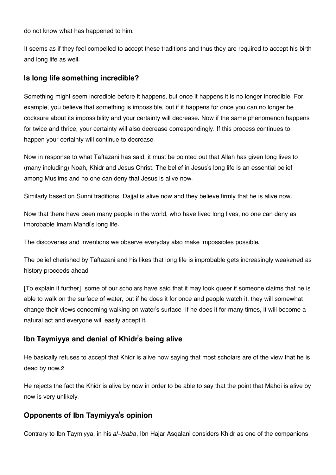do not know what has happened to him.

It seems as if they feel compelled to accept these traditions and thus they are required to accept his birth and long life as well.

#### **[Is long life something incredible?](#page--1-0)**

Something might seem incredible before it happens, but once it happens it is no longer incredible. For example, you believe that something is impossible, but if it happens for once you can no longer be cocksure about its impossibility and your certainty will decrease. Now if the same phenomenon happens for twice and thrice, your certainty will also decrease correspondingly. If this process continues to happen your certainty will continue to decrease.

Now in response to what Taftazani has said, it must be pointed out that Allah has given long lives to (many including) Noah, Khidr and Jesus Christ. The belief in Jesus's long life is an essential belief among Muslims and no one can deny that Jesus is alive now.

Similarly based on Sunni traditions, Dajial is alive now and they believe firmly that he is alive now.

Now that there have been many people in the world, who have lived long lives, no one can deny as improbable Imam Mahdi's long life.

The discoveries and inventions we observe everyday also make impossibles possible.

The belief cherished by Taftazani and his likes that long life is improbable gets increasingly weakened as history proceeds ahead.

[To explain it further], some of our scholars have said that it may look queer if someone claims that he is able to walk on the surface of water, but if he does it for once and people watch it, they will somewhat change their views concerning walking on water's surface. If he does it for many times, it will become a natural act and everyone will easily accept it.

### **[Ibn Taymiyya and denial of Khidr](#page--1-0)'s being alive**

He basically refuses to accept that Khidr is alive now saying that most scholars are of the view that he is dead by now.[2](#page--1-0)

He rejects the fact the Khidr is alive by now in order to be able to say that the point that Mahdi is alive by now is very unlikely.

# **[Opponents of Ibn Taymiyya](#page--1-0)'s opinion**

Contrary to Ibn Taymiyya, in his *al-Isaba*, Ibn Hajar Asqalani considers Khidr as one of the companions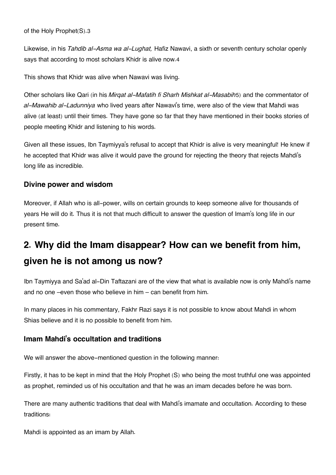of the Holy Prophet(S).[3](#page--1-0)

Likewise, in his *Tahdib al-Asma wa al-Lughat,* Hafiz Nawavi, a sixth or seventh century scholar openly says that according to most scholars Khidr is alive now.[4](#page--1-0)

This shows that Khidr was alive when Nawavi was living.

Other scholars like Qari (in his *Mirqat al-Mafatih fi Sharh Mishkat al-Masabih*[5](#page--1-0)) and the commentator of *al-Mawahib al-Ladunniya* who lived years after Nawavi's time, were also of the view that Mahdi was alive (at least) until their times. They have gone so far that they have mentioned in their books stories of people meeting Khidr and listening to his words.

Given all these issues, Ibn Taymiyya's refusal to accept that Khidr is alive is very meaningful! He knew if he accepted that Khidr was alive it would pave the ground for rejecting the theory that rejects Mahdi's long life as incredible.

#### **[Divine power and wisdom](#page--1-0)**

Moreover, if Allah who is all-power, wills on certain grounds to keep someone alive for thousands of years He will do it. Thus it is not that much difficult to answer the question of Imam's long life in our present time.

# **[2. Why did the Imam disappear? How can we benefit from him,](#page--1-0) [given he is not among us now?](#page--1-0)**

Ibn Taymiyya and Sa'ad al-Din Taftazani are of the view that what is available now is only Mahdi's name and no one –even those who believe in him – can benefit from him.

In many places in his commentary, Fakhr Razi says it is not possible to know about Mahdi in whom Shias believe and it is no possible to benefit from him.

### **Imam Mahdi['s occultation and traditions](#page--1-0)**

We will answer the above-mentioned question in the following manner:

Firstly, it has to be kept in mind that the Holy Prophet (S) who being the most truthful one was appointed as prophet, reminded us of his occultation and that he was an imam decades before he was born.

There are many authentic traditions that deal with Mahdi's imamate and occultation. According to these traditions:

Mahdi is appointed as an imam by Allah.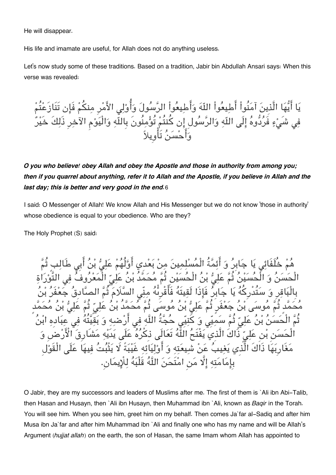He will disappear.

His life and imamate are useful, for Allah does not do anything useless.

Let's now study some of these traditions. Based on a tradition, Jabir bin Abdullah Ansari says: When this verse was revealed:

يَا أَيُّهَا الَّذِينَ آمَنُواْ أَطيعُواْ اللّهَ وَأَطيعُواْ الرَّسُولَ وَأَوْلِي الأَمْرِ مِنكُمْ فَإِن تَنَازَعْتُمْ فِى شَيْءٍ فَرُدُّوهُ إِلَى اللّهِ وَالرَّسُولِ إِن كُنتُمْ تُؤْمِنُونَ بِاللّهِ وَالْيَوْمِ الآخِرِ ذَلِكَ خَيْرٌ واحسن تَاوِيلا

# *O you who believe! obey Allah and obey the Apostle and those in authority from among you; then if you quarrel about anything, refer it to Allah and the Apostle, if you believe in Allah and the last day; this is better and very good in the end.*[6](#page--1-0)

I said: O Messenger of Allah! We know Allah and His Messenger but we do not know 'those in authority' whose obedience is equal to your obedience. Who are they?

The Holy Prophet (S) said:

هُمْ خُلْفَائِي يَا جَابِرَ وَ ائِمَةَ الْمُسْلِمِينَ مِنْ بَعْدِي اوَّلُهُمْ عَلِيُّ بْنَ ابِي طَالِبٍ ثُمَّ الْحَسَنُ وَ الْحَسَيْنُ ثُمَّ عَلِيٌّ بْنُ الْحَسَيْنِ ثُمَّ مَحَمَّدَ بْنُ عَلِيِّ الْمَعْرُوفَ فِي الْتَوْرَاةِ بِالْباقرِ و ستُدْرِكه يا جابِر فَاذَا لَقيتَه فَاقْرِىه منّ السَم ثُم الصادِق جعفَر بن مَحَمَّدٍ ثُمَّ مُوسَى بْنُ جَعْفَرٍ ثُمَّ عَلِيُّ بْنُ مُوسَى ثُمَّ مَحَمَّدٌ بْنُ عَلِيِّ ثُمَّ عَلِيُّ بْنُ مَحَمَّد ثُمَّ الْحَسَنُ بْنُ عَلِيّ ثُمَّ سَمِيِّي وَ كَنِيِّي حَجَّةَ اللَّهِ فِي ارْضِهِ وَ بَقِيَّتُهُ فِي عِبَادِهِ ابْنُ رّ ذَاك الّذِي يَفْتَحُ اللّهُ تَعَالَى ذِكرْهُ عَا ذَاكَ الَّذِي يَغِيبُ عَنْ شيعَته وَ أَوْلِيَائه غَيْبَةً لَا يَتْبُتُ فِيهَا عَلَ بِإِمَامَتِهِ إِلَّا مَنِ امْتَحَنَ اللَّهُ قَلْبَهُ لِلْإِيمَانِ.

O Jabir, they are my successors and leaders of Muslims after me. The first of them is `Ali ibn Abi-Talib, then Hasan and Husayn, then `Ali ibn Husayn, then Muhammad ibn `Ali, known as *Baqir* in the Torah. You will see him. When you see him, greet him on my behalf. Then comes Ja`far al-Sadiq and after him Musa ibn Ja`far and after him Muhammad ibn `Ali and finally one who has my name and will be Allah's Argument (*hujjat allah*) on the earth, the son of Hasan, the same Imam whom Allah has appointed to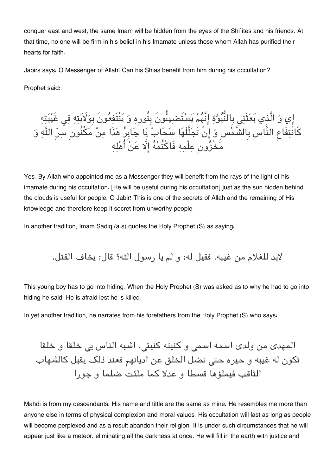conquer east and west, the same Imam will be hidden from the eyes of the Shi`ites and his friends. At that time, no one will be firm in his belief in his Imamate unless those whom Allah has purified their hearts for faith.

Jabirs says: O Messenger of Allah! Can his Shias benefit from him during his occultation?

Prophet said:

إِي وَ الَّذِي بَعَثَنِي بِالنَّبُوَّةِ إِنَّهُمْ يَسْتَضيِينُونَ بِنُورِهِ وَ يَنْتَفِعُونَ بِوَلاَيَتِهِ فِي غَيْبَتِهِ كانْتِفَاعِ النَّاسِ بِالشَّمْسِ وَ إِنْ تَجَلَّلُهَا سَحَابٌ يَا جَابِرُ هَذَا مِنْ مَكْنُونِ سِرِّ اللَّهِ وَ مَخْزُونِ عِلْمِهِ فَاكْتُمْهُ إِلَّا عَنْ اهْلِهِ

Yes. By Allah who appointed me as a Messenger they will benefit from the rays of the light of his imamate during his occultation. [He will be useful during his occultation] just as the sun hidden behind the clouds is useful for people. O Jabir! This is one of the secrets of Allah and the remaining of His knowledge and therefore keep it secret from unworthy people.

In another tradition, Imam Sadiq (a.s) quotes the Holy Prophet (S) as saying:

لابد للغلام من غیبه. فقیل له: و لم یا رسول اله؟ قال: یخاف القتل.

This young boy has to go into hiding. When the Holy Prophet (S) was asked as to why he had to go into hiding he said: He is afraid lest he is killed.

In yet another tradition, he narrates from his forefathers from the Holy Prophet (S) who says:

المهدی من ولدی اسمه اسمی و کنیته کنیتی. اشبه الناس بی خلقا و خلقا تكون له غیبه و حیره حتی تضل الخلق عن ادیانهم فعند ذلک یقبل كالشهاب الثاقب فیملؤها قسطا و عدلا کما ملئت ضلما و جورا

Mahdi is from my descendants. His name and tittle are the same as mine. He resembles me more than anyone else in terms of physical complexion and moral values. His occultation will last as long as people will become perplexed and as a result abandon their religion. It is under such circumstances that he will appear just like a meteor, eliminating all the darkness at once. He will fill in the earth with justice and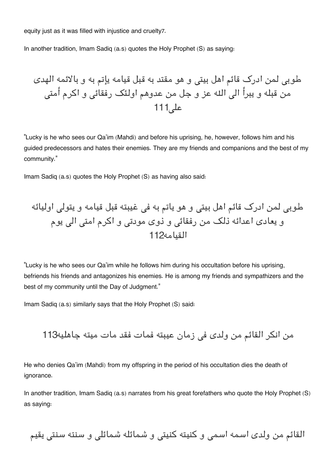equity just as it was filled with injustice and cruelty[7](#page--1-0).

In another tradition, Imam Sadiq (a.s) quotes the Holy Prophet (S) as saying:

طوب لمن ادرک قائم اهل بیت و هو مقتد به قبل قیامه یإتم به و بالائمه الهدی من قبله و یبرأ ال اله عز و جل من عدوهم اولئ رفقائ و اکرم أمت عل111

"Lucky is he who sees our Qa'im (Mahdi) and before his uprising, he, however, follows him and his guided predecessors and hates their enemies. They are my friends and companions and the best of my community."

Imam Sadiq (a.s) quotes the Holy Prophet (S) as having also said:

طوب لمن ادرک قائم اهل بیت و هو یاتم به ف غیبته قبل قیامه و یتول اولیائه و یعادی اعدائه ذل من رفقائ و ذوی مودت و اکرم امت ال یوم القیامه112

"Lucky is he who sees our Qa'im while he follows him during his occultation before his uprising, befriends his friends and antagonizes his enemies. He is among my friends and sympathizers and the best of my community until the Day of Judgment."

Imam Sadiq (a.s) similarly says that the Holy Prophet (S) said:

من انكر القائم من ولدی فی زمان عیبته فمات فقد مات میته جاهلیه113

He who denies Qa'im (Mahdi) from my offspring in the period of his occultation dies the death of ignorance.

In another tradition, Imam Sadiq (a.s) narrates from his great forefathers who quote the Holy Prophet (S) as saying:

القائم من ولدی اسمه اسم و کنیته کنیت و شمائله شمائل و سنته سنت یقیم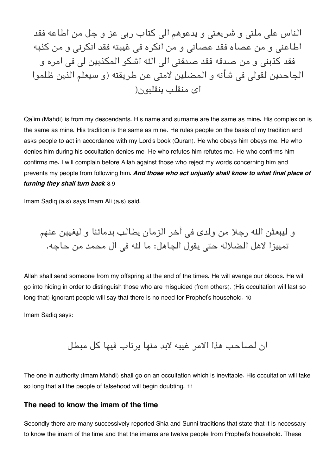الناس علی ملتی و شریعتی و یدعوهم الی کتاب ربی عز و جل من اطاعه فقد اطاعنی و من عصاه فقد عصانی و من انکره فی غیبته فقد انکرنی و من کذبه فقد کذبنی و من صدقه فقد صدقنی الی الله اشکو المکذبین لی فی امره و الجاحدین لقولی فی شأنه و المضلین لامتی عن طریقته (و سیعلم الذین ظلموا ای منقلب ینقلبون(

Qa'im (Mahdi) is from my descendants. His name and surname are the same as mine. His complexion is the same as mine. His tradition is the same as mine. He rules people on the basis of my tradition and asks people to act in accordance with my Lord's book (Quran). He who obeys him obeys me. He who denies him during his occultation denies me. He who refutes him refutes me. He who confirms him confirms me. I will complain before Allah against those who reject my words concerning him and prevents my people from following him. *And those who act unjustly shall know to what final place of turning they shall turn back* [8](#page--1-0).[9](#page--1-0)

Imam Sadiq (a.s) says Imam Ali (a.s) said:

و لیبعثن اله رجلا من ولدی ف آخر الزمان یطالب بدمائنا و لیغیبن عنهم تمييزا لاهل الضلاله حتى يقول الجاهل: ما لله في آل محمد من حاجه.

Allah shall send someone from my offspring at the end of the times. He will avenge our bloods. He will go into hiding in order to distinguish those who are misguided (from others). (His occultation will last so long that) ignorant people will say that there is no need for Prophet's household. [10](#page--1-0)

Imam Sadiq says:

ان لصاحب هذا الامر غیبه لابد منها یرتاب فیها کل مبطل

The one in authority (Imam Mahdi) shall go on an occultation which is inevitable. His occultation will take so long that all the people of falsehood will begin doubting. [11](#page--1-0)

#### **[The need to know the imam of the time](#page--1-0)**

Secondly there are many successively reported Shia and Sunni traditions that state that it is necessary to know the imam of the time and that the imams are twelve people from Prophet's household. These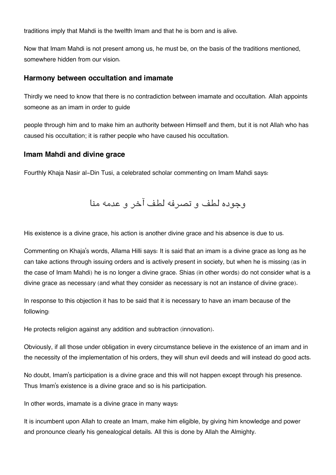traditions imply that Mahdi is the twelfth Imam and that he is born and is alive.

Now that Imam Mahdi is not present among us, he must be, on the basis of the traditions mentioned, somewhere hidden from our vision.

#### **[Harmony between occultation and imamate](#page--1-0)**

Thirdly we need to know that there is no contradiction between imamate and occultation. Allah appoints someone as an imam in order to guide

people through him and to make him an authority between Himself and them, but it is not Allah who has caused his occultation; it is rather people who have caused his occultation.

#### **[Imam Mahdi and divine grace](#page--1-0)**

Fourthly Khaja Nasir al-Din Tusi, a celebrated scholar commenting on Imam Mahdi says:

وجوده لطف و تصرفه لطف آخر و عدمه منا

His existence is a divine grace, his action is another divine grace and his absence is due to us.

Commenting on Khaja's words, Allama Hilli says: It is said that an imam is a divine grace as long as he can take actions through issuing orders and is actively present in society, but when he is missing (as in the case of Imam Mahdi) he is no longer a divine grace. Shias (in other words) do not consider what is a divine grace as necessary (and what they consider as necessary is not an instance of divine grace).

In response to this objection it has to be said that it is necessary to have an imam because of the following:

He protects religion against any addition and subtraction (innovation).

Obviously, if all those under obligation in every circumstance believe in the existence of an imam and in the necessity of the implementation of his orders, they will shun evil deeds and will instead do good acts.

No doubt, Imam's participation is a divine grace and this will not happen except through his presence. Thus Imam's existence is a divine grace and so is his participation.

In other words, imamate is a divine grace in many ways:

It is incumbent upon Allah to create an Imam, make him eligible, by giving him knowledge and power and pronounce clearly his genealogical details. All this is done by Allah the Almighty.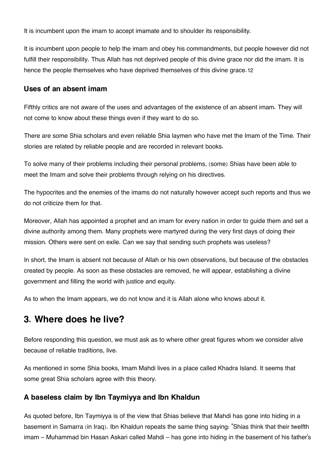It is incumbent upon the imam to accept imamate and to shoulder its responsibility.

It is incumbent upon people to help the imam and obey his commandments, but people however did not fulfill their responsibility. Thus Allah has not deprived people of this divine grace nor did the imam. It is hence the people themselves who have deprived themselves of this divine grace.[12](#page--1-0)

#### **[Uses of an absent imam](#page--1-0)**

Fifthly critics are not aware of the uses and advantages of the existence of an absent imam. They will not come to know about these things even if they want to do so.

There are some Shia scholars and even reliable Shia laymen who have met the Imam of the Time. Their stories are related by reliable people and are recorded in relevant books.

To solve many of their problems including their personal problems, (some) Shias have been able to meet the Imam and solve their problems through relying on his directives.

The hypocrites and the enemies of the imams do not naturally however accept such reports and thus we do not criticize them for that.

Moreover, Allah has appointed a prophet and an imam for every nation in order to guide them and set a divine authority among them. Many prophets were martyred during the very first days of doing their mission. Others were sent on exile. Can we say that sending such prophets was useless?

In short, the Imam is absent not because of Allah or his own observations, but because of the obstacles created by people. As soon as these obstacles are removed, he will appear, establishing a divine government and filling the world with justice and equity.

As to when the Imam appears, we do not know and it is Allah alone who knows about it.

# **[3. Where does he live?](#page--1-0)**

Before responding this question, we must ask as to where other great figures whom we consider alive because of reliable traditions, live.

As mentioned in some Shia books, Imam Mahdi lives in a place called Khadra Island. It seems that some great Shia scholars agree with this theory.

#### **[A baseless claim by Ibn Taymiyya and Ibn Khaldun](#page--1-0)**

As quoted before, Ibn Taymiyya is of the view that Shias believe that Mahdi has gone into hiding in a basement in Samarra (in Iraq). Ibn Khaldun repeats the same thing saying: "Shias think that their twelfth imam – Muhammad bin Hasan Askari called Mahdi – has gone into hiding in the basement of his father's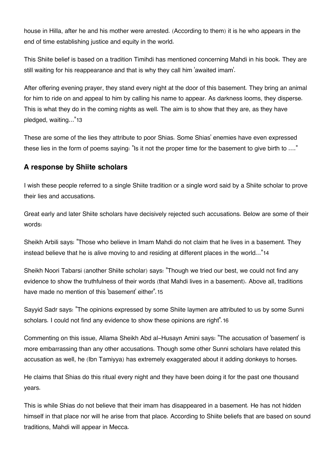house in Hilla, after he and his mother were arrested. (According to them) it is he who appears in the end of time establishing justice and equity in the world.

This Shiite belief is based on a tradition Timihdi has mentioned concerning Mahdi in his book. They are still waiting for his reappearance and that is why they call him 'awaited imam'.

After offering evening prayer, they stand every night at the door of this basement. They bring an animal for him to ride on and appeal to him by calling his name to appear. As darkness looms, they disperse. This is what they do in the coming nights as well. The aim is to show that they are, as they have pledged, waiting…"[13](#page--1-0)

These are some of the lies they attribute to poor Shias. Some Shias' enemies have even expressed these lies in the form of poems saying: "Is it not the proper time for the basement to give birth to …."

### **[A response by Shiite scholars](#page--1-0)**

I wish these people referred to a single Shiite tradition or a single word said by a Shiite scholar to prove their lies and accusations.

Great early and later Shiite scholars have decisively rejected such accusations. Below are some of their words:

Sheikh Arbili says: "Those who believe in Imam Mahdi do not claim that he lives in a basement. They instead believe that he is alive moving to and residing at different places in the world…"[14](#page--1-0)

Sheikh Noori Tabarsi (another Shiite scholar) says: "Though we tried our best, we could not find any evidence to show the truthfulness of their words (that Mahdi lives in a basement). Above all, traditions have made no mention of this 'basement' either".[15](#page--1-0)

Sayyid Sadr says: "The opinions expressed by some Shiite laymen are attributed to us by some Sunni scholars. I could not find any evidence to show these opinions are right".[16](#page--1-0)

Commenting on this issue, Allama Sheikh Abd al-Husayn Amini says: "The accusation of 'basement' is more embarrassing than any other accusations. Though some other Sunni scholars have related this accusation as well, he (Ibn Tamiyya) has extremely exaggerated about it adding donkeys to horses.

He claims that Shias do this ritual every night and they have been doing it for the past one thousand years.

This is while Shias do not believe that their imam has disappeared in a basement. He has not hidden himself in that place nor will he arise from that place. According to Shiite beliefs that are based on sound traditions, Mahdi will appear in Mecca.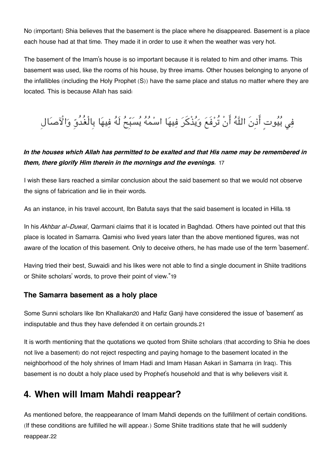No (important) Shia believes that the basement is the place where he disappeared. Basement is a place each house had at that time. They made it in order to use it when the weather was very hot.

The basement of the Imam's house is so important because it is related to him and other imams. This basement was used, like the rooms of his house, by three imams. Other houses belonging to anyone of the infallibles (including the Holy Prophet (S)) have the same place and status no matter where they are located. This is because Allah has said:

# فِي بُيُوتِ أَذِنَ اللَّهُ أَنْ تُرْفَعَ وَيُذْكَرَ فِيهَا اسْمُهُ يُسَبِّحُ لَهُ فِيهَا بِالْغُدُوِّ وَالْآصَالِ

## *In the houses which Allah has permitted to be exalted and that His name may be remembered in them, there glorify Him therein in the mornings and the evenings.* [17](#page--1-0)

I wish these liars reached a similar conclusion about the said basement so that we would not observe the signs of fabrication and lie in their words.

As an instance, in his travel account, Ibn Batuta says that the said basement is located in Hilla.[18](#page--1-0)

In his *Akhbar al-Duwal*, Qarmani claims that it is located in Baghdad. Others have pointed out that this place is located in Samarra. Qamisi who lived years later than the above mentioned figures, was not aware of the location of this basement. Only to deceive others, he has made use of the term 'basement'.

Having tried their best, Suwaidi and his likes were not able to find a single document in Shiite traditions or Shiite scholars' words, to prove their point of view."[19](#page--1-0)

#### **[The Samarra basement as a holy place](#page--1-0)**

Some Sunni scholars like Ibn Khallakan[20](#page--1-0) and Hafiz Ganji have considered the issue of 'basement' as indisputable and thus they have defended it on certain grounds.[21](#page--1-0)

It is worth mentioning that the quotations we quoted from Shiite scholars (that according to Shia he does not live a basement) do not reject respecting and paying homage to the basement located in the neighborhood of the holy shrines of Imam Hadi and Imam Hasan Askari in Samarra (in Iraq). This basement is no doubt a holy place used by Prophet's household and that is why believers visit it.

# **[4. When will Imam Mahdi reappear?](#page--1-0)**

As mentioned before, the reappearance of Imam Mahdi depends on the fulfillment of certain conditions. (If these conditions are fulfilled he will appear.) Some Shiite traditions state that he will suddenly reappear.[22](#page--1-0)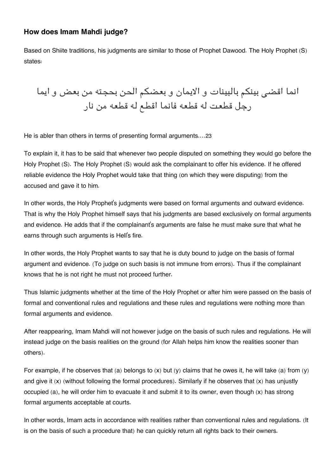### **[How does Imam Mahdi judge?](#page--1-0)**

Based on Shiite traditions, his judgments are similar to those of Prophet Dawood. The Holy Prophet (S) states:

انما اقضی بینکم بالبینات و الایمان و بعضکم الحن بحجته من بعض و ایما رجل قطعت له قطعه فانما اقطع له قطعه من نار

He is abler than others in terms of presenting formal arguments….[23](#page--1-0)

To explain it, it has to be said that whenever two people disputed on something they would go before the Holy Prophet (S). The Holy Prophet (S) would ask the complainant to offer his evidence. If he offered reliable evidence the Holy Prophet would take that thing (on which they were disputing) from the accused and gave it to him.

In other words, the Holy Prophet's judgments were based on formal arguments and outward evidence. That is why the Holy Prophet himself says that his judgments are based exclusively on formal arguments and evidence. He adds that if the complainant's arguments are false he must make sure that what he earns through such arguments is Hell's fire.

In other words, the Holy Prophet wants to say that he is duty bound to judge on the basis of formal argument and evidence. (To judge on such basis is not immune from errors). Thus if the complainant knows that he is not right he must not proceed further.

Thus Islamic judgments whether at the time of the Holy Prophet or after him were passed on the basis of formal and conventional rules and regulations and these rules and regulations were nothing more than formal arguments and evidence.

After reappearing, Imam Mahdi will not however judge on the basis of such rules and regulations. He will instead judge on the basis realities on the ground (for Allah helps him know the realities sooner than others).

For example, if he observes that (a) belongs to (x) but (y) claims that he owes it, he will take (a) from (y) and give it (x) (without following the formal procedures). Similarly if he observes that (x) has unjustly occupied (a), he will order him to evacuate it and submit it to its owner, even though (x) has strong formal arguments acceptable at courts.

In other words, Imam acts in accordance with realities rather than conventional rules and regulations. (It is on the basis of such a procedure that) he can quickly return all rights back to their owners.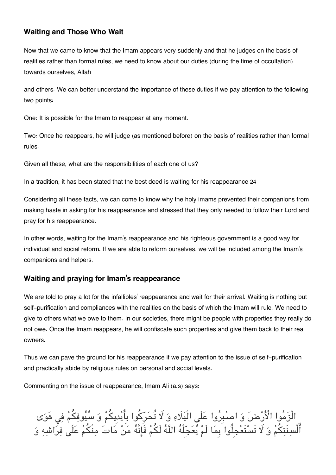## **[Waiting and Those Who Wait](#page--1-0)**

Now that we came to know that the Imam appears very suddenly and that he judges on the basis of realities rather than formal rules, we need to know about our duties (during the time of occultation) towards ourselves, Allah

and others. We can better understand the importance of these duties if we pay attention to the following two points:

One: It is possible for the Imam to reappear at any moment.

Two: Once he reappears, he will judge (as mentioned before) on the basis of realities rather than formal rules.

Given all these, what are the responsibilities of each one of us?

In a tradition, it has been stated that the best deed is waiting for his reappearance.[24](#page--1-0)

Considering all these facts, we can come to know why the holy imams prevented their companions from making haste in asking for his reappearance and stressed that they only needed to follow their Lord and pray for his reappearance.

In other words, waiting for the Imam's reappearance and his righteous government is a good way for individual and social reform. If we are able to reform ourselves, we will be included among the Imam's companions and helpers.

#### **[Waiting and praying for Imam](#page--1-0)'s reappearance**

We are told to pray a lot for the infallibles' reappearance and wait for their arrival. Waiting is nothing but self-purification and compliances with the realities on the basis of which the Imam will rule. We need to give to others what we owe to them. In our societies, there might be people with properties they really do not owe. Once the Imam reappears, he will confiscate such properties and give them back to their real owners.

Thus we can pave the ground for his reappearance if we pay attention to the issue of self-purification and practically abide by religious rules on personal and social levels.

Commenting on the issue of reappearance, Imam Ali (a.s) says:

ِ الزَمُوا الأَرْضُ وَ اصْبِرُوا عَلَى الْبَلاءِ وَ لا تُحَرِّكُوا بِايْدِيكُمْ وَ سَيُوفِكُمْ فِي هُوَى الْسِنَتِكُمْ وَ لا تَستَعْجِلُوا بِمَا لَمْ يَعَجِّلْهُ اللَّهُ لَكُمْ فَإِنَّهُ مَنْ مَاتَ مِنْكُمْ عَلَى فِرَاشِهِ وَ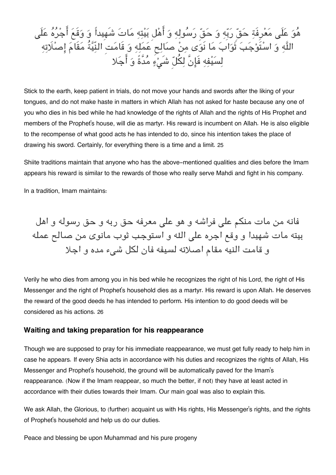هُوَ عَلَى مَعْرِفَةِ حَقّ رَبِّهِ وَ حَقّ رَسُولِهِ وَ أَهْل بَيْتِهِ مَاتَ شَهِيداً وَ وَقَعَ أَجْرُهُ عَلَى اللّهِ وَ اسْتَوْجَبَ ثَوَابَ مَا نَوَى مِنْ صَالِحٍ عَمَلِهِ وَ قَامَتِ النِّيّةُ مَقَامَ إِصَلاتِهِ لِسَيْفِهِ فَإِنْ لِكُلِّ شَيْءٍ مَدَّةً وَ أَجَلا

Stick to the earth, keep patient in trials, do not move your hands and swords after the liking of your tongues, and do not make haste in matters in which Allah has not asked for haste because any one of you who dies in his bed while he had knowledge of the rights of Allah and the rights of His Prophet and members of the Prophet's house, will die as martyr. His reward is incumbent on Allah. He is also eligible to the recompense of what good acts he has intended to do, since his intention takes the place of drawing his sword. Certainly, for everything there is a time and a limit. [25](#page--1-0)

Shiite traditions maintain that anyone who has the above-mentioned qualities and dies before the Imam appears his reward is similar to the rewards of those who really serve Mahdi and fight in his company.

In a tradition, Imam maintains:

فانه من مات منكم على فراشه و هو على معرفه حق ربه و حق رسوله و اهل بیته مات شهیدا و وقع اجره عل اله و استوجب ثوب مانوی من صالح عمله و قامت النیه مقام اصلاته لسیفه فان لل شء مده و اجلا

Verily he who dies from among you in his bed while he recognizes the right of his Lord, the right of His Messenger and the right of Prophet's household dies as a martyr. His reward is upon Allah. He deserves the reward of the good deeds he has intended to perform. His intention to do good deeds will be considered as his actions. [26](#page--1-0)

#### **[Waiting and taking preparation for his reappearance](#page--1-0)**

Though we are supposed to pray for his immediate reappearance, we must get fully ready to help him in case he appears. If every Shia acts in accordance with his duties and recognizes the rights of Allah, His Messenger and Prophet's household, the ground will be automatically paved for the Imam's reappearance. (Now if the Imam reappear, so much the better, if not) they have at least acted in accordance with their duties towards their Imam. Our main goal was also to explain this.

We ask Allah, the Glorious, to (further) acquaint us with His rights, His Messenger's rights, and the rights of Prophet's household and help us do our duties.

Peace and blessing be upon Muhammad and his pure progeny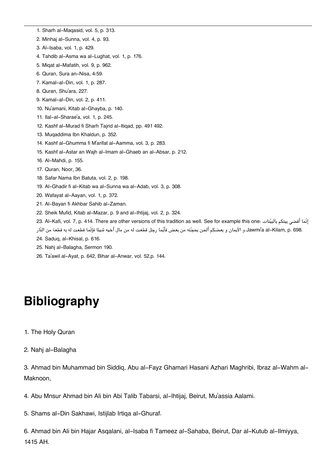- [1.](#page--1-0) Sharh al-Maqasid, vol. 5, p. 313.
- [2.](#page--1-0) Minhaj al-Sunna, vol. 4, p. 93.
- [3.](#page--1-0) Al-Isaba, vol. 1, p. 429.
- [4.](#page--1-0) Tahdib al-Asma wa al-Lughat, vol. 1, p. 176.
- [5.](#page--1-0) Miqat al-Mafatih, vol. 9, p. 962.
- [6.](#page--1-0) Quran, Sura an-Nisa, 4:59.
- [7.](#page--1-0) Kamal-al-Din, vol. 1, p. 287.
- [8.](#page--1-0) Quran, Shu'ara, 227.
- [9.](#page--1-0) Kamal-al-Din, vol. 2, p. 411.
- [10.](#page--1-0) Nu'amani, Kitab al-Ghayba, p. 140.
- [11.](#page--1-0) Ilal-al-Sharae'a, vol. 1, p. 245.
- [12.](#page--1-0) Kashf al-Murad fi Sharh Tajrid al-Itiqad, pp. 491 492.
- [13.](#page--1-0) Muqaddima Ibn Khaldun, p. 352.
- [14.](#page--1-0) Kashf al-Ghumma fi M'arifat al-Aamma, vol. 3, p. 283.
- [15.](#page--1-0) Kashf al-Astar an Wajh al-Imam al-Ghaeb an al-Absar, p. 212.
- [16.](#page--1-0) Al-Mahdi, p. 155.
- [17.](#page--1-0) Quran, Noor, 36.
- [18.](#page--1-0) Safar Nama Ibn Batuta, vol. 2, p. 198.
- [19.](#page--1-0) Al-Ghadir fi al-Kitab wa al-Sunna wa al-Adab, vol. 3, p. 308.
- [20.](#page--1-0) Wafayat al-Aayan, vol. 1, p. 372.
- [21.](#page--1-0) Al-Bayan fi Akhbar Sahib al-Zaman.
- [22.](#page--1-0) Sheik Mufid, Kitab al-Mazar, p. 9 and al-Ihtijaj, vol. 2, p. 324.
- [23.](#page--1-0) Al–Kafi, vol. 7, p. 414. There are other versions of this tradition as well. See for example this one: نات
- .Jawmi'a al–Kilam, p. 698. و الأيمان و بعضكم ألحن بحجّته من بعض فأيّما رجل قطعت له من مال أخيه شيئا فإنّما قطعت له به قطعة من النّار
- [24.](#page--1-0) Saduq, al-Khisal, p. 616.
- [25.](#page--1-0) Nahj al-Balagha, Sermon 190.
- [26.](#page--1-0) Ta'awil al-Ayat, p. 642, Bihar al-Anwar, vol. 52,p. 144.

# **Bibliography**

- 1. The Holy Quran
- 2. Nahj al-Balagha

3. Ahmad bin Muhammad bin Siddiq, Abu al-Fayz Ghamari Hasani Azhari Maghribi, Ibraz al-Wahm al-Maknoon,

4. Abu Mnsur Ahmad bin Ali bin Abi Talib Tabarsi, al-Ihtijaj, Beirut, Mu'assia Aalami.

5. Shams al-Din Sakhawi, Istijlab Irtiqa al-Ghuraf.

6. Ahmad bin Ali bin Hajar Asqalani, al-Isaba fi Tameez al-Sahaba, Beirut, Dar al-Kutub al-Ilmiyya, 1415 AH.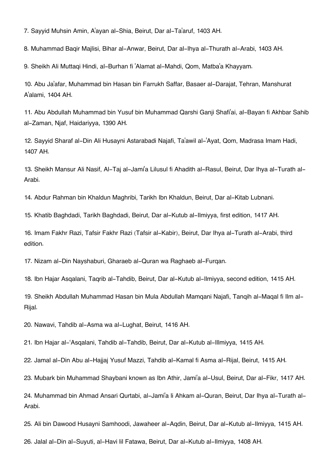7. Sayyid Muhsin Amin, A'ayan al-Shia, Beirut, Dar al-Ta'aruf, 1403 AH.

8. Muhammad Baqir Majlisi, Bihar al-Anwar, Beirut, Dar al-Ihya al-Thurath al-Arabi, 1403 AH.

9. Sheikh Ali Muttaqi Hindi, al-Burhan fi 'Alamat al-Mahdi, Qom, Matba'a Khayyam.

10. Abu Ja'afar, Muhammad bin Hasan bin Farrukh Saffar, Basaer al-Darajat, Tehran, Manshurat A'alami, 1404 AH.

11. Abu Abdullah Muhammad bin Yusuf bin Muhammad Qarshi Ganji Shafi'ai, al-Bayan fi Akhbar Sahib al-Zaman, Njaf, Haidariyya, 1390 AH.

12. Sayyid Sharaf al-Din Ali Husayni Astarabadi Najafi, Ta'awil al-'Ayat, Qom, Madrasa Imam Hadi, 1407 AH.

13. Sheikh Mansur Ali Nasif, Al-Taj al-Jami'a Lilusul fi Ahadith al-Rasul, Beirut, Dar Ihya al-Turath al-Arabi.

14. Abdur Rahman bin Khaldun Maghribi, Tarikh Ibn Khaldun, Beirut, Dar al-Kitab Lubnani.

15. Khatib Baghdadi, Tarikh Baghdadi, Beirut, Dar al-Kutub al-Ilmiyya, first edition, 1417 AH.

16. Imam Fakhr Razi, Tafsir Fakhr Razi (Tafsir al-Kabir), Beirut, Dar Ihya al-Turath al-Arabi, third edition.

17. Nizam al-Din Nayshaburi, Gharaeb al-Quran wa Raghaeb al-Furqan.

18. Ibn Hajar Asqalani, Taqrib al-Tahdib, Beirut, Dar al-Kutub al-Ilmiyya, second edition, 1415 AH.

19. Sheikh Abdullah Muhammad Hasan bin Mula Abdullah Mamqani Najafi, Tanqih al-Maqal fi Ilm al-Rijal.

20. Nawavi, Tahdib al-Asma wa al-Lughat, Beirut, 1416 AH.

21. Ibn Hajar al-'Asqalani, Tahdib al-Tahdib, Beirut, Dar al-Kutub al-Illmiyya, 1415 AH.

22. Jamal al-Din Abu al-Hajjaj Yusuf Mazzi, Tahdib al-Kamal fi Asma al-Rijal, Beirut, 1415 AH.

23. Mubark bin Muhammad Shaybani known as Ibn Athir, Jami'a al-Usul, Beirut, Dar al-Fikr, 1417 AH.

24. Muhammad bin Ahmad Ansari Qurtabi, al-Jami'a li Ahkam al-Quran, Beirut, Dar Ihya al-Turath al-Arabi.

25. Ali bin Dawood Husayni Samhoodi, Jawaheer al-Aqdin, Beirut, Dar al-Kutub al-Ilmiyya, 1415 AH.

26. Jalal al-Din al-Suyuti, al-Havi lil Fatawa, Beirut, Dar al-Kutub al-Ilmiyya, 1408 AH.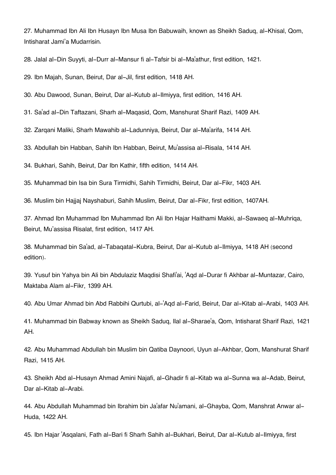27. Muhammad Ibn Ali Ibn Husayn Ibn Musa Ibn Babuwaih, known as Sheikh Saduq, al-Khisal, Qom, Intisharat Jami'a Mudarrisin.

28. Jalal al-Din Suyyti, al-Durr al-Mansur fi al-Tafsir bi al-Ma'athur, first edition, 1421.

29. Ibn Majah, Sunan, Beirut, Dar al-Jil, first edition, 1418 AH.

30. Abu Dawood, Sunan, Beirut, Dar al-Kutub al-Ilmiyya, first edition, 1416 AH.

31. Sa'ad al-Din Taftazani, Sharh al-Maqasid, Qom, Manshurat Sharif Razi, 1409 AH.

32. Zarqani Maliki, Sharh Mawahib al-Ladunniya, Beirut, Dar al-Ma'arifa, 1414 AH.

33. Abdullah bin Habban, Sahih Ibn Habban, Beirut, Mu'assisa al-Risala, 1414 AH.

34. Bukhari, Sahih, Beirut, Dar Ibn Kathir, fifth edition, 1414 AH.

35. Muhammad bin Isa bin Sura Tirmidhi, Sahih Tirmidhi, Beirut, Dar al-Fikr, 1403 AH.

36. Muslim bin Hajjaj Nayshaburi, Sahih Muslim, Beirut, Dar al-Fikr, first edition, 1407AH.

37. Ahmad Ibn Muhammad Ibn Muhammad Ibn Ali Ibn Hajar Haithami Makki, al-Sawaeq al-Muhriqa, Beirut, Mu'assisa Risalat, first edition, 1417 AH.

38. Muhammad bin Sa'ad, al-Tabaqatal-Kubra, Beirut, Dar al-Kutub al-Ilmiyya, 1418 AH (second edition).

39. Yusuf bin Yahya bin Ali bin Abdulaziz Maqdisi Shafi'ai, 'Aqd al-Durar fi Akhbar al-Muntazar, Cairo, Maktaba Alam al-Fikr, 1399 AH.

40. Abu Umar Ahmad bin Abd Rabbihi Qurtubi, al-'Aqd al-Farid, Beirut, Dar al-Kitab al-Arabi, 1403 AH.

41. Muhammad bin Babway known as Sheikh Saduq, Ilal al-Sharae'a, Qom, Intisharat Sharif Razi, 1421 AH.

42. Abu Muhammad Abdullah bin Muslim bin Qatiba Daynoori, Uyun al-Akhbar, Qom, Manshurat Sharif Razi, 1415 AH.

43. Sheikh Abd al-Husayn Ahmad Amini Najafi, al-Ghadir fi al-Kitab wa al-Sunna wa al-Adab, Beirut, Dar al-Kitab al-Arabi.

44. Abu Abdullah Muhammad bin Ibrahim bin Ja'afar Nu'amani, al-Ghayba, Qom, Manshrat Anwar al-Huda, 1422 AH.

45. Ibn Hajar 'Asqalani, Fath al-Bari fi Sharh Sahih al-Bukhari, Beirut, Dar al-Kutub al-Ilmiyya, first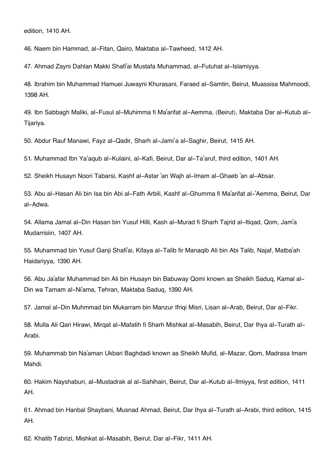edition, 1410 AH.

46. Naem bin Hammad, al-Fitan, Qairo, Maktaba al-Tawheed, 1412 AH.

47. Ahmad Zayni Dahlan Makki Shafi'ai Mustafa Muhammad, al-Futuhat al-Islamiyya.

48. Ibrahim bin Muhammad Hamuei Juwayni Khurasani, Faraed al-Samtin, Beirut, Muassisa Mahmoodi, 1398 AH.

49. Ibn Sabbagh Maliki, al-Fusul al-Muhimma fi Ma'arifat al-Aemma, (Beirut), Maktaba Dar al-Kutub al-Tijariya.

50. Abdur Rauf Manawi, Fayz al-Qadir, Sharh al-Jami'a al-Saghir, Beirut, 1415 AH.

51. Muhammad Ibn Ya'aqub al-Kulaini, al-Kafi, Beirut, Dar al-Ta'aruf, third edition, 1401 AH.

52. Sheikh Husayn Noori Tabarsi, Kashf al-Astar 'an Wajh al-Imam al-Ghaeb 'an al-Absar.

53. Abu al-Hasan Ali bin Isa bin Abi al-Fath Arbili, Kashf al-Ghumma fi Ma'arifat al-'Aemma, Beirut, Dar al-Adwa.

54. Allama Jamal al-Din Hasan bin Yusuf Hilli, Kash al-Murad fi Sharh Tajrid al-Itiqad, Qom, Jam'a Mudarrisiin, 1407 AH.

55. Muhammad bin Yusuf Ganji Shafi'ai, Kifaya al-Talib fir Manaqib Ali bin Abi Talib, Najaf, Matba'ah Haidariyya, 1390 AH.

56. Abu Ja'afar Muhammad bin Ali bin Husayn bin Babuway Qomi known as Sheikh Saduq, Kamal al-Din wa Tamam al-Ni'ama, Tehran, Maktaba Saduq, 1390 AH.

57. Jamal al-Din Muhmmad bin Mukarram bin Manzur Ifriqi Misri, Lisan al-Arab, Beirut, Dar al-Fikr.

58. Mulla Ali Qari Hirawi, Mirqat al-Mafatih fi Sharh Mishkat al-Masabih, Beirut, Dar Ihya al-Turath al-Arabi.

59. Muhammab bin Na'aman Ukbari Baghdadi known as Sheikh Mufid, al-Mazar, Qom, Madrasa Imam Mahdi.

60. Hakim Nayshaburi, al-Mustadrak al al-Sahihain, Beirut, Dar al-Kutub al-Ilmiyya, first edition, 1411 AH.

61. Ahmad bin Hanbal Shaybani, Musnad Ahmad, Beirut, Dar Ihya al-Turath al-Arabi, third edition, 1415 AH.

62. Khatib Tabrizi, Mishkat al-Masabih, Beirut, Dar al-Fikr, 1411 AH.